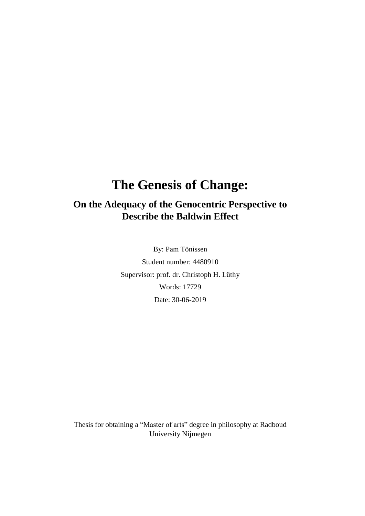# **The Genesis of Change:**

# **On the Adequacy of the Genocentric Perspective to Describe the Baldwin Effect**

By: Pam Tönissen Student number: 4480910 Supervisor: prof. dr. Christoph H. Lüthy Words: 17729 Date: 30-06-2019

Thesis for obtaining a "Master of arts" degree in philosophy at Radboud University Nijmegen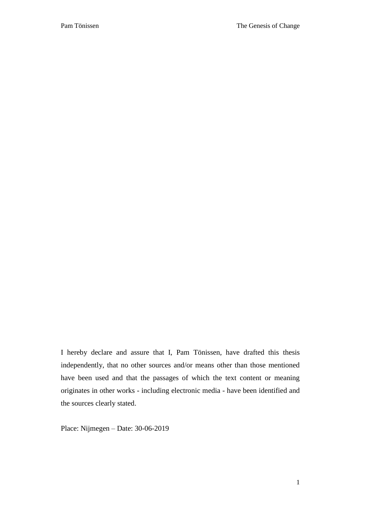I hereby declare and assure that I, Pam Tönissen, have drafted this thesis independently, that no other sources and/or means other than those mentioned have been used and that the passages of which the text content or meaning originates in other works - including electronic media - have been identified and the sources clearly stated.

Place: Nijmegen – Date: 30-06-2019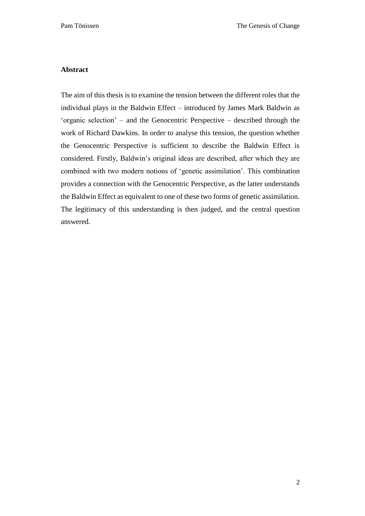## **Abstract**

The aim of this thesis is to examine the tension between the different roles that the individual plays in the Baldwin Effect – introduced by James Mark Baldwin as 'organic selection' – and the Genocentric Perspective – described through the work of Richard Dawkins. In order to analyse this tension, the question whether the Genocentric Perspective is sufficient to describe the Baldwin Effect is considered. Firstly, Baldwin's original ideas are described, after which they are combined with two modern notions of 'genetic assimilation'. This combination provides a connection with the Genocentric Perspective, as the latter understands the Baldwin Effect as equivalent to one of these two forms of genetic assimilation. The legitimacy of this understanding is then judged, and the central question answered.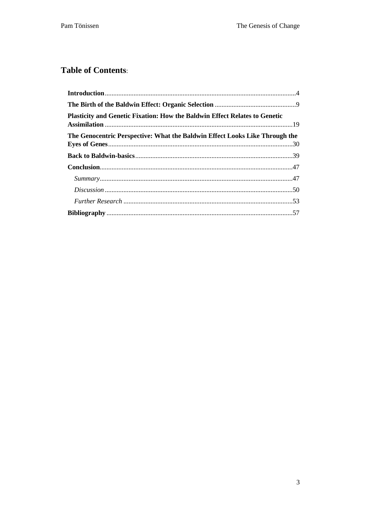## **Table of Contents:**

| <b>Plasticity and Genetic Fixation: How the Baldwin Effect Relates to Genetic</b> |  |
|-----------------------------------------------------------------------------------|--|
| The Genocentric Perspective: What the Baldwin Effect Looks Like Through the       |  |
|                                                                                   |  |
|                                                                                   |  |
|                                                                                   |  |
|                                                                                   |  |
|                                                                                   |  |
|                                                                                   |  |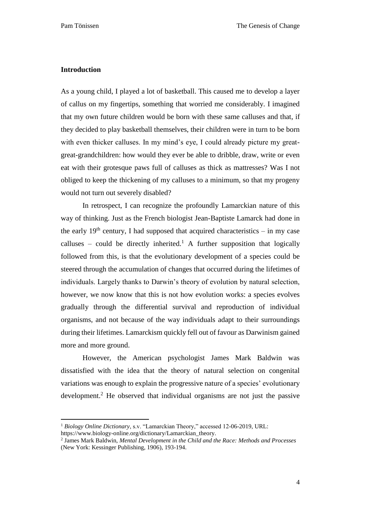## <span id="page-4-0"></span>**Introduction**

 $\ddot{\phantom{a}}$ 

As a young child, I played a lot of basketball. This caused me to develop a layer of callus on my fingertips, something that worried me considerably. I imagined that my own future children would be born with these same calluses and that, if they decided to play basketball themselves, their children were in turn to be born with even thicker calluses. In my mind's eye, I could already picture my greatgreat-grandchildren: how would they ever be able to dribble, draw, write or even eat with their grotesque paws full of calluses as thick as mattresses? Was I not obliged to keep the thickening of my calluses to a minimum, so that my progeny would not turn out severely disabled?

In retrospect, I can recognize the profoundly Lamarckian nature of this way of thinking. Just as the French biologist Jean-Baptiste Lamarck had done in the early  $19<sup>th</sup>$  century, I had supposed that acquired characteristics – in my case calluses – could be directly inherited.<sup>1</sup> A further supposition that logically followed from this, is that the evolutionary development of a species could be steered through the accumulation of changes that occurred during the lifetimes of individuals. Largely thanks to Darwin's theory of evolution by natural selection, however, we now know that this is not how evolution works: a species evolves gradually through the differential survival and reproduction of individual organisms, and not because of the way individuals adapt to their surroundings during their lifetimes. Lamarckism quickly fell out of favour as Darwinism gained more and more ground.

However, the American psychologist James Mark Baldwin was dissatisfied with the idea that the theory of natural selection on congenital variations was enough to explain the progressive nature of a species' evolutionary development.<sup>2</sup> He observed that individual organisms are not just the passive

<sup>1</sup> *Biology Online Dictionary*, s.v. "Lamarckian Theory," accessed 12-06-2019, URL: [https://www.biology-online.org/dictionary/Lamarckian\\_theory.](https://www.biology-online.org/dictionary/Lamarckian_theory)

<sup>2</sup> James Mark Baldwin, *Mental Development in the Child and the Race: Methods and Processes* (New York: Kessinger Publishing, 1906), 193-194.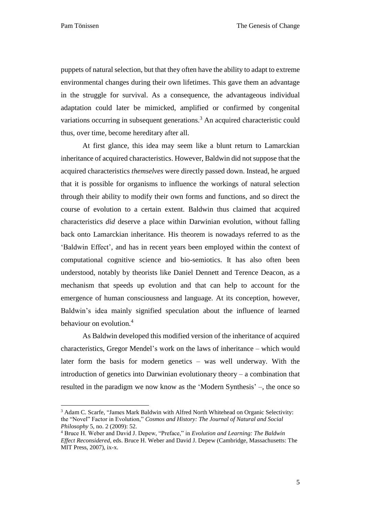$\overline{a}$ 

puppets of natural selection, but that they often have the ability to adapt to extreme environmental changes during their own lifetimes. This gave them an advantage in the struggle for survival. As a consequence, the advantageous individual adaptation could later be mimicked, amplified or confirmed by congenital variations occurring in subsequent generations.<sup>3</sup> An acquired characteristic could thus, over time, become hereditary after all.

At first glance, this idea may seem like a blunt return to Lamarckian inheritance of acquired characteristics. However, Baldwin did not suppose that the acquired characteristics *themselves* were directly passed down. Instead, he argued that it is possible for organisms to influence the workings of natural selection through their ability to modify their own forms and functions, and so direct the course of evolution to a certain extent. Baldwin thus claimed that acquired characteristics *did* deserve a place within Darwinian evolution, without falling back onto Lamarckian inheritance. His theorem is nowadays referred to as the 'Baldwin Effect', and has in recent years been employed within the context of computational cognitive science and bio-semiotics. It has also often been understood, notably by theorists like Daniel Dennett and Terence Deacon, as a mechanism that speeds up evolution and that can help to account for the emergence of human consciousness and language. At its conception, however, Baldwin's idea mainly signified speculation about the influence of learned behaviour on evolution.<sup>4</sup>

As Baldwin developed this modified version of the inheritance of acquired characteristics, Gregor Mendel's work on the laws of inheritance – which would later form the basis for modern genetics – was well underway. With the introduction of genetics into Darwinian evolutionary theory – a combination that resulted in the paradigm we now know as the 'Modern Synthesis' –, the once so

<sup>&</sup>lt;sup>3</sup> Adam C. Scarfe, "James Mark Baldwin with Alfred North Whitehead on Organic Selectivity: the "Novel" Factor in Evolution," *Cosmos and History: The Journal of Natural and Social Philosophy* 5, no. 2 (2009): 52.

<sup>4</sup> Bruce H. Weber and David J. Depew, "Preface," in *Evolution and Learning: The Baldwin Effect Reconsidered*, eds. Bruce H. Weber and David J. Depew (Cambridge, Massachusetts: The MIT Press, 2007), ix-x.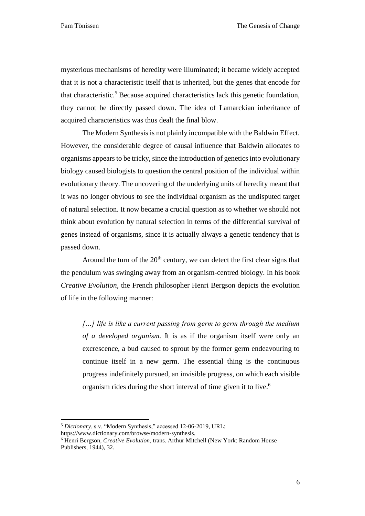mysterious mechanisms of heredity were illuminated; it became widely accepted that it is not a characteristic itself that is inherited, but the genes that encode for that characteristic. <sup>5</sup> Because acquired characteristics lack this genetic foundation, they cannot be directly passed down. The idea of Lamarckian inheritance of acquired characteristics was thus dealt the final blow.

The Modern Synthesis is not plainly incompatible with the Baldwin Effect. However, the considerable degree of causal influence that Baldwin allocates to organisms appears to be tricky, since the introduction of genetics into evolutionary biology caused biologists to question the central position of the individual within evolutionary theory. The uncovering of the underlying units of heredity meant that it was no longer obvious to see the individual organism as the undisputed target of natural selection. It now became a crucial question as to whether we should not think about evolution by natural selection in terms of the differential survival of genes instead of organisms, since it is actually always a genetic tendency that is passed down.

Around the turn of the  $20<sup>th</sup>$  century, we can detect the first clear signs that the pendulum was swinging away from an organism-centred biology. In his book *Creative Evolution*, the French philosopher Henri Bergson depicts the evolution of life in the following manner:

*[…] life is like a current passing from germ to germ through the medium of a developed organism.* It is as if the organism itself were only an excrescence, a bud caused to sprout by the former germ endeavouring to continue itself in a new germ. The essential thing is the continuous progress indefinitely pursued, an invisible progress, on which each visible organism rides during the short interval of time given it to live.<sup>6</sup>

 $\ddot{\phantom{a}}$ 

<sup>5</sup> *Dictionary*, s.v. "Modern Synthesis," accessed 12-06-2019, URL:

https://www.dictionary.com/browse/modern-synthesis.

<sup>6</sup> Henri Bergson, *Creative Evolution*, trans. Arthur Mitchell (New York: Random House Publishers, 1944), 32.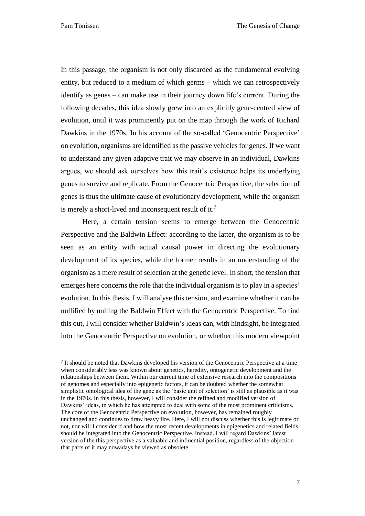$\ddot{\phantom{a}}$ 

In this passage, the organism is not only discarded as the fundamental evolving entity, but reduced to a medium of which germs – which we can retrospectively identify as genes – can make use in their journey down life's current. During the following decades, this idea slowly grew into an explicitly gene-centred view of evolution, until it was prominently put on the map through the work of Richard Dawkins in the 1970s. In his account of the so-called 'Genocentric Perspective' on evolution, organisms are identified as the passive vehicles for genes. If we want to understand any given adaptive trait we may observe in an individual, Dawkins argues, we should ask ourselves how this trait's existence helps its underlying genes to survive and replicate. From the Genocentric Perspective, the selection of genes is thus the ultimate cause of evolutionary development, while the organism is merely a short-lived and inconsequent result of it.<sup>7</sup>

Here, a certain tension seems to emerge between the Genocentric Perspective and the Baldwin Effect: according to the latter, the organism is to be seen as an entity with actual causal power in directing the evolutionary development of its species, while the former results in an understanding of the organism as a mere result of selection at the genetic level. In short, the tension that emerges here concerns the role that the individual organism is to play in a species' evolution. In this thesis, I will analyse this tension, and examine whether it can be nullified by uniting the Baldwin Effect with the Genocentric Perspective. To find this out, I will consider whether Baldwin's ideas can, with hindsight, be integrated into the Genocentric Perspective on evolution, or whether this modern viewpoint

<sup>&</sup>lt;sup>7</sup> It should be noted that Dawkins developed his version of the Genocentric Perspective at a time when considerably less was known about genetics, heredity, ontogenetic development and the relationships between them. Within our current time of extensive research into the compositions of genomes and especially into epigenetic factors, it can be doubted whether the somewhat simplistic ontological idea of the gene as the 'basic unit of selection' is still as plausible as it was in the 1970s. In this thesis, however, I will consider the refined and modified version of Dawkins' ideas, in which he has attempted to deal with some of the most prominent criticisms. The core of the Genocentric Perspective on evolution, however, has remained roughly unchanged and continues to draw heavy fire. Here, I will not discuss whether this is legitimate or not, nor will I consider if and how the most recent developments in epigenetics and related fields should be integrated into the Genocentric Perspective. Instead, I will regard Dawkins' latest version of the this perspective as a valuable and influential position, regardless of the objection that parts of it may nowadays be viewed as obsolete.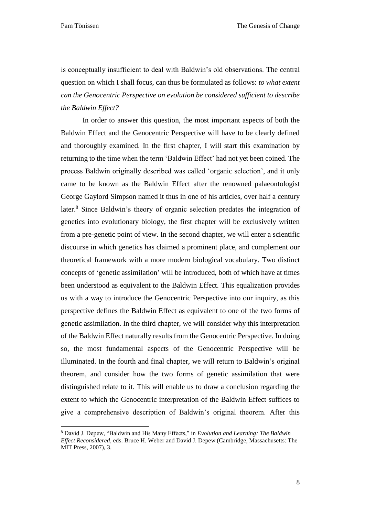$\overline{a}$ 

is conceptually insufficient to deal with Baldwin's old observations. The central question on which I shall focus, can thus be formulated as follows: *to what extent can the Genocentric Perspective on evolution be considered sufficient to describe the Baldwin Effect?*

In order to answer this question, the most important aspects of both the Baldwin Effect and the Genocentric Perspective will have to be clearly defined and thoroughly examined. In the first chapter, I will start this examination by returning to the time when the term 'Baldwin Effect' had not yet been coined. The process Baldwin originally described was called 'organic selection', and it only came to be known as the Baldwin Effect after the renowned palaeontologist George Gaylord Simpson named it thus in one of his articles, over half a century later.<sup>8</sup> Since Baldwin's theory of organic selection predates the integration of genetics into evolutionary biology, the first chapter will be exclusively written from a pre-genetic point of view. In the second chapter, we will enter a scientific discourse in which genetics has claimed a prominent place, and complement our theoretical framework with a more modern biological vocabulary. Two distinct concepts of 'genetic assimilation' will be introduced, both of which have at times been understood as equivalent to the Baldwin Effect. This equalization provides us with a way to introduce the Genocentric Perspective into our inquiry, as this perspective defines the Baldwin Effect as equivalent to one of the two forms of genetic assimilation. In the third chapter, we will consider why this interpretation of the Baldwin Effect naturally results from the Genocentric Perspective. In doing so, the most fundamental aspects of the Genocentric Perspective will be illuminated. In the fourth and final chapter, we will return to Baldwin's original theorem, and consider how the two forms of genetic assimilation that were distinguished relate to it. This will enable us to draw a conclusion regarding the extent to which the Genocentric interpretation of the Baldwin Effect suffices to give a comprehensive description of Baldwin's original theorem. After this

<sup>8</sup> David J. Depew, "Baldwin and His Many Effects," in *Evolution and Learning: The Baldwin Effect Reconsidered*, eds. Bruce H. Weber and David J. Depew (Cambridge, Massachusetts: The MIT Press, 2007), 3.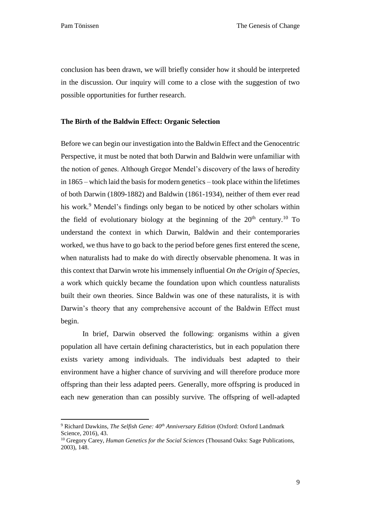$\ddot{\phantom{a}}$ 

conclusion has been drawn, we will briefly consider how it should be interpreted in the discussion. Our inquiry will come to a close with the suggestion of two possible opportunities for further research.

## <span id="page-9-0"></span>**The Birth of the Baldwin Effect: Organic Selection**

Before we can begin our investigation into the Baldwin Effect and the Genocentric Perspective, it must be noted that both Darwin and Baldwin were unfamiliar with the notion of genes. Although Gregor Mendel's discovery of the laws of heredity in 1865 – which laid the basis for modern genetics – took place within the lifetimes of both Darwin (1809-1882) and Baldwin (1861-1934), neither of them ever read his work.<sup>9</sup> Mendel's findings only began to be noticed by other scholars within the field of evolutionary biology at the beginning of the  $20<sup>th</sup>$  century.<sup>10</sup> To understand the context in which Darwin, Baldwin and their contemporaries worked, we thus have to go back to the period before genes first entered the scene, when naturalists had to make do with directly observable phenomena. It was in this context that Darwin wrote his immensely influential *On the Origin of Species*, a work which quickly became the foundation upon which countless naturalists built their own theories. Since Baldwin was one of these naturalists, it is with Darwin's theory that any comprehensive account of the Baldwin Effect must begin.

In brief, Darwin observed the following: organisms within a given population all have certain defining characteristics, but in each population there exists variety among individuals. The individuals best adapted to their environment have a higher chance of surviving and will therefore produce more offspring than their less adapted peers. Generally, more offspring is produced in each new generation than can possibly survive. The offspring of well-adapted

<sup>9</sup> Richard Dawkins, *The Selfish Gene: 40th Anniversary Edition* (Oxford: Oxford Landmark Science, 2016), 43.

<sup>&</sup>lt;sup>10</sup> Gregory Carey, *Human Genetics for the Social Sciences* (Thousand Oaks: Sage Publications, 2003), 148.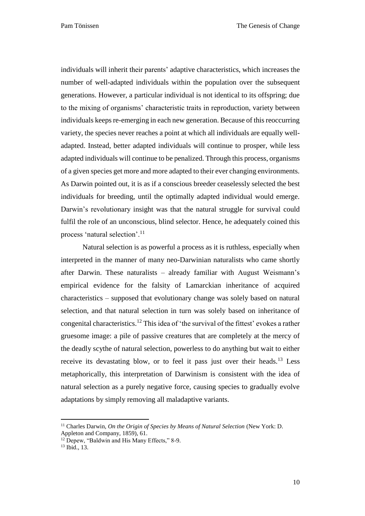Pam Tönissen The Genesis of Change

individuals will inherit their parents' adaptive characteristics, which increases the number of well-adapted individuals within the population over the subsequent generations. However, a particular individual is not identical to its offspring; due to the mixing of organisms' characteristic traits in reproduction, variety between individuals keeps re-emerging in each new generation. Because of this reoccurring variety, the species never reaches a point at which all individuals are equally welladapted. Instead, better adapted individuals will continue to prosper, while less adapted individuals will continue to be penalized. Through this process, organisms of a given species get more and more adapted to their ever changing environments. As Darwin pointed out, it is as if a conscious breeder ceaselessly selected the best individuals for breeding, until the optimally adapted individual would emerge. Darwin's revolutionary insight was that the natural struggle for survival could fulfil the role of an unconscious, blind selector. Hence, he adequately coined this process 'natural selection'.<sup>11</sup>

Natural selection is as powerful a process as it is ruthless, especially when interpreted in the manner of many neo-Darwinian naturalists who came shortly after Darwin. These naturalists – already familiar with August Weismann's empirical evidence for the falsity of Lamarckian inheritance of acquired characteristics – supposed that evolutionary change was solely based on natural selection, and that natural selection in turn was solely based on inheritance of congenital characteristics.<sup>12</sup> This idea of 'the survival of the fittest' evokes a rather gruesome image: a pile of passive creatures that are completely at the mercy of the deadly scythe of natural selection, powerless to do anything but wait to either receive its devastating blow, or to feel it pass just over their heads.<sup>13</sup> Less metaphorically, this interpretation of Darwinism is consistent with the idea of natural selection as a purely negative force, causing species to gradually evolve adaptations by simply removing all maladaptive variants.

 $\ddot{\phantom{a}}$ 

<sup>11</sup> Charles Darwin, *On the Origin of Species by Means of Natural Selection* (New York: D. Appleton and Company, 1859), 61.

<sup>&</sup>lt;sup>12</sup> Depew, "Baldwin and His Many Effects," 8-9.

 $13$  Ibid.,  $13$ .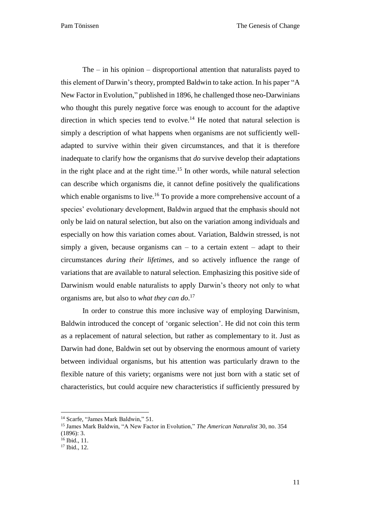The – in his opinion – disproportional attention that naturalists payed to this element of Darwin's theory, prompted Baldwin to take action. In his paper "A New Factor in Evolution," published in 1896, he challenged those neo-Darwinians who thought this purely negative force was enough to account for the adaptive direction in which species tend to evolve.<sup>14</sup> He noted that natural selection is simply a description of what happens when organisms are not sufficiently welladapted to survive within their given circumstances, and that it is therefore inadequate to clarify how the organisms that *do* survive develop their adaptations in the right place and at the right time. <sup>15</sup> In other words, while natural selection can describe which organisms die, it cannot define positively the qualifications which enable organisms to live.<sup>16</sup> To provide a more comprehensive account of a species' evolutionary development, Baldwin argued that the emphasis should not only be laid on natural selection, but also on the variation among individuals and especially on how this variation comes about. Variation, Baldwin stressed, is not simply a given, because organisms can – to a certain extent – adapt to their circumstances *during their lifetimes*, and so actively influence the range of variations that are available to natural selection. Emphasizing this positive side of Darwinism would enable naturalists to apply Darwin's theory not only to what organisms are, but also to *what they can do*. 17

In order to construe this more inclusive way of employing Darwinism, Baldwin introduced the concept of 'organic selection'. He did not coin this term as a replacement of natural selection, but rather as complementary to it. Just as Darwin had done, Baldwin set out by observing the enormous amount of variety between individual organisms, but his attention was particularly drawn to the flexible nature of this variety; organisms were not just born with a static set of characteristics, but could acquire new characteristics if sufficiently pressured by

<sup>&</sup>lt;sup>14</sup> Scarfe, "James Mark Baldwin," 51.

<sup>15</sup> James Mark Baldwin, "A New Factor in Evolution," *The American Naturalist* 30, no. 354

<sup>(1896): 3.</sup>

<sup>&</sup>lt;sup>16</sup> Ibid., 11.

 $17$  Ibid.,  $12$ .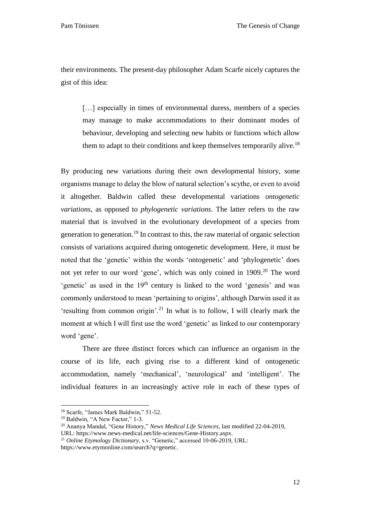their environments. The present-day philosopher Adam Scarfe nicely captures the gist of this idea:

[...] especially in times of environmental duress, members of a species may manage to make accommodations to their dominant modes of behaviour, developing and selecting new habits or functions which allow them to adapt to their conditions and keep themselves temporarily alive.<sup>18</sup>

By producing new variations during their own developmental history, some organisms manage to delay the blow of natural selection's scythe, or even to avoid it altogether. Baldwin called these developmental variations *ontogenetic variations*, as opposed to *phylogenetic variations*. The latter refers to the raw material that is involved in the evolutionary development of a species from generation to generation.<sup>19</sup> In contrast to this, the raw material of organic selection consists of variations acquired during ontogenetic development. Here, it must be noted that the 'genetic' within the words 'ontogenetic' and 'phylogenetic' does not yet refer to our word 'gene', which was only coined in 1909.<sup>20</sup> The word 'genetic' as used in the  $19<sup>th</sup>$  century is linked to the word 'genesis' and was commonly understood to mean 'pertaining to origins', although Darwin used it as 'resulting from common origin'.<sup>21</sup> In what is to follow, I will clearly mark the moment at which I will first use the word 'genetic' as linked to our contemporary word 'gene'.

There are three distinct forces which can influence an organism in the course of its life, each giving rise to a different kind of ontogenetic accommodation, namely 'mechanical', 'neurological' and 'intelligent'. The individual features in an increasingly active role in each of these types of

<sup>18</sup> Scarfe, "James Mark Baldwin," 51-52.

<sup>&</sup>lt;sup>19</sup> Baldwin, "A New Factor," 1-3.

<sup>20</sup> Ananya Mandal, "Gene History," *News Medical Life Sciences*, last modified 22-04-2019, URL: [https://www.news-medical.net/life-sciences/Gene-History.aspx.](https://www.news-medical.net/life-sciences/Gene-History.aspx)

<sup>21</sup> *Online Etymology Dictionary*, s.v. "Genetic," accessed 10-06-2019, URL: https://www.etymonline.com/search?q=genetic.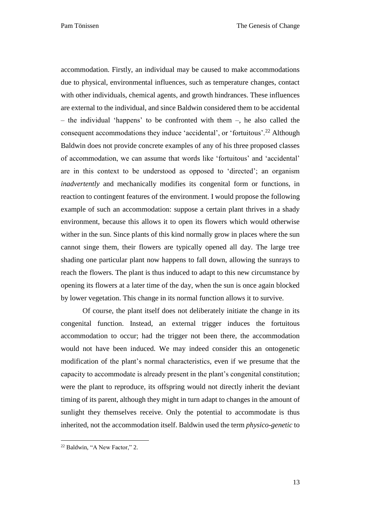accommodation. Firstly, an individual may be caused to make accommodations due to physical, environmental influences, such as temperature changes, contact with other individuals, chemical agents, and growth hindrances. These influences are external to the individual, and since Baldwin considered them to be accidental – the individual 'happens' to be confronted with them –, he also called the consequent accommodations they induce 'accidental', or 'fortuitous'.<sup>22</sup> Although Baldwin does not provide concrete examples of any of his three proposed classes of accommodation, we can assume that words like 'fortuitous' and 'accidental' are in this context to be understood as opposed to 'directed'; an organism *inadvertently* and mechanically modifies its congenital form or functions, in reaction to contingent features of the environment. I would propose the following example of such an accommodation: suppose a certain plant thrives in a shady environment, because this allows it to open its flowers which would otherwise wither in the sun. Since plants of this kind normally grow in places where the sun cannot singe them, their flowers are typically opened all day. The large tree shading one particular plant now happens to fall down, allowing the sunrays to reach the flowers. The plant is thus induced to adapt to this new circumstance by opening its flowers at a later time of the day, when the sun is once again blocked by lower vegetation. This change in its normal function allows it to survive.

Of course, the plant itself does not deliberately initiate the change in its congenital function. Instead, an external trigger induces the fortuitous accommodation to occur; had the trigger not been there, the accommodation would not have been induced. We may indeed consider this an ontogenetic modification of the plant's normal characteristics, even if we presume that the capacity to accommodate is already present in the plant's congenital constitution; were the plant to reproduce, its offspring would not directly inherit the deviant timing of its parent, although they might in turn adapt to changes in the amount of sunlight they themselves receive. Only the potential to accommodate is thus inherited, not the accommodation itself. Baldwin used the term *physico-genetic* to

 $\ddot{\phantom{a}}$ 

<sup>22</sup> Baldwin, "A New Factor," 2.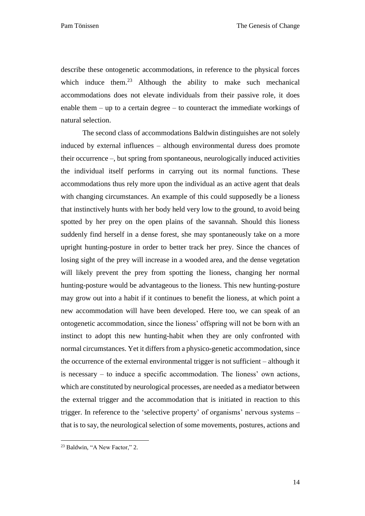describe these ontogenetic accommodations, in reference to the physical forces which induce them.<sup>23</sup> Although the ability to make such mechanical accommodations does not elevate individuals from their passive role, it does enable them – up to a certain degree – to counteract the immediate workings of natural selection.

The second class of accommodations Baldwin distinguishes are not solely induced by external influences – although environmental duress does promote their occurrence –, but spring from spontaneous, neurologically induced activities the individual itself performs in carrying out its normal functions. These accommodations thus rely more upon the individual as an active agent that deals with changing circumstances. An example of this could supposedly be a lioness that instinctively hunts with her body held very low to the ground, to avoid being spotted by her prey on the open plains of the savannah. Should this lioness suddenly find herself in a dense forest, she may spontaneously take on a more upright hunting-posture in order to better track her prey. Since the chances of losing sight of the prey will increase in a wooded area, and the dense vegetation will likely prevent the prey from spotting the lioness, changing her normal hunting-posture would be advantageous to the lioness. This new hunting-posture may grow out into a habit if it continues to benefit the lioness, at which point a new accommodation will have been developed. Here too, we can speak of an ontogenetic accommodation, since the lioness' offspring will not be born with an instinct to adopt this new hunting-habit when they are only confronted with normal circumstances. Yet it differs from a physico-genetic accommodation, since the occurrence of the external environmental trigger is not sufficient – although it is necessary – to induce a specific accommodation. The lioness' own actions, which are constituted by neurological processes, are needed as a mediator between the external trigger and the accommodation that is initiated in reaction to this trigger. In reference to the 'selective property' of organisms' nervous systems – that is to say, the neurological selection of some movements, postures, actions and

 $\ddot{\phantom{a}}$ 

<sup>&</sup>lt;sup>23</sup> Baldwin, "A New Factor," 2.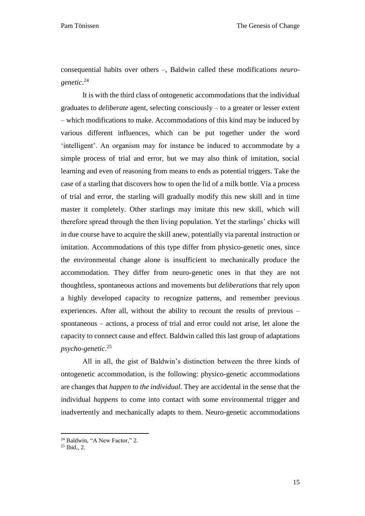consequential habits over others –, Baldwin called these modifications *neurogenetic*. 24

It is with the third class of ontogenetic accommodations that the individual graduates to *deliberate* agent, selecting consciously – to a greater or lesser extent – which modifications to make. Accommodations of this kind may be induced by various different influences, which can be put together under the word 'intelligent'. An organism may for instance be induced to accommodate by a simple process of trial and error, but we may also think of imitation, social learning and even of reasoning from means to ends as potential triggers. Take the case of a starling that discovers how to open the lid of a milk bottle. Via a process of trial and error, the starling will gradually modify this new skill and in time master it completely. Other starlings may imitate this new skill, which will therefore spread through the then living population. Yet the starlings' chicks will in due course have to acquire the skill anew, potentially via parental instruction or imitation. Accommodations of this type differ from physico-genetic ones, since the environmental change alone is insufficient to mechanically produce the accommodation. They differ from neuro-genetic ones in that they are not thoughtless, spontaneous actions and movements but *deliberations* that rely upon a highly developed capacity to recognize patterns, and remember previous experiences. After all, without the ability to recount the results of previous – spontaneous – actions, a process of trial and error could not arise, let alone the capacity to connect cause and effect. Baldwin called this last group of adaptations *psycho-genetic*. 25

All in all, the gist of Baldwin's distinction between the three kinds of ontogenetic accommodation, is the following: physico-genetic accommodations are changes that *happen to the individual*. They are accidental in the sense that the individual *happens* to come into contact with some environmental trigger and inadvertently and mechanically adapts to them. Neuro-genetic accommodations

<sup>&</sup>lt;sup>24</sup> Baldwin, "A New Factor," 2.

<sup>25</sup> Ibid., 2.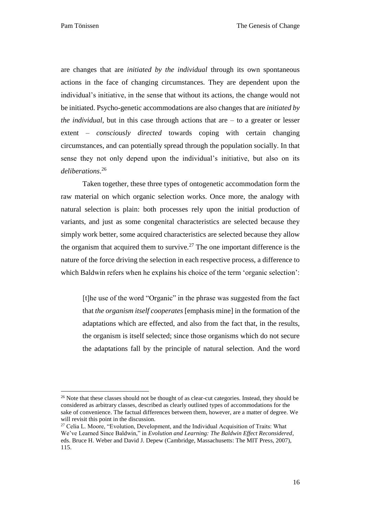$\overline{a}$ 

are changes that are *initiated by the individual* through its own spontaneous actions in the face of changing circumstances. They are dependent upon the individual's initiative, in the sense that without its actions, the change would not be initiated. Psycho-genetic accommodations are also changes that are *initiated by the individual*, but in this case through actions that are  $-$  to a greater or lesser extent – *consciously directed* towards coping with certain changing circumstances, and can potentially spread through the population socially. In that sense they not only depend upon the individual's initiative, but also on its *deliberations*. 26

Taken together, these three types of ontogenetic accommodation form the raw material on which organic selection works. Once more, the analogy with natural selection is plain: both processes rely upon the initial production of variants, and just as some congenital characteristics are selected because they simply work better, some acquired characteristics are selected because they allow the organism that acquired them to survive.<sup>27</sup> The one important difference is the nature of the force driving the selection in each respective process, a difference to which Baldwin refers when he explains his choice of the term 'organic selection':

[t]he use of the word "Organic" in the phrase was suggested from the fact that *the organism itself cooperates* [emphasis mine] in the formation of the adaptations which are effected, and also from the fact that, in the results, the organism is itself selected; since those organisms which do not secure the adaptations fall by the principle of natural selection. And the word

<sup>&</sup>lt;sup>26</sup> Note that these classes should not be thought of as clear-cut categories. Instead, they should be considered as arbitrary classes, described as clearly outlined types of accommodations for the sake of convenience. The factual differences between them, however, are a matter of degree. We will revisit this point in the discussion.

<sup>&</sup>lt;sup>27</sup> Celia L. Moore, "Evolution, Development, and the Individual Acquisition of Traits: What We've Learned Since Baldwin," in *Evolution and Learning: The Baldwin Effect Reconsidered*, eds. Bruce H. Weber and David J. Depew (Cambridge, Massachusetts: The MIT Press, 2007), 115.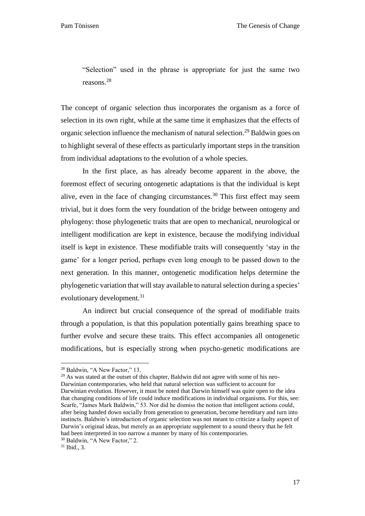"Selection" used in the phrase is appropriate for just the same two reasons.<sup>28</sup>

The concept of organic selection thus incorporates the organism as a force of selection in its own right, while at the same time it emphasizes that the effects of organic selection influence the mechanism of natural selection.<sup>29</sup> Baldwin goes on to highlight several of these effects as particularly important steps in the transition from individual adaptations to the evolution of a whole species.

In the first place, as has already become apparent in the above, the foremost effect of securing ontogenetic adaptations is that the individual is kept alive, even in the face of changing circumstances.<sup>30</sup> This first effect may seem trivial, but it does form the very foundation of the bridge between ontogeny and phylogeny: those phylogenetic traits that are open to mechanical, neurological or intelligent modification are kept in existence, because the modifying individual itself is kept in existence. These modifiable traits will consequently 'stay in the game' for a longer period, perhaps even long enough to be passed down to the next generation. In this manner, ontogenetic modification helps determine the phylogenetic variation that will stay available to natural selection during a species' evolutionary development.<sup>31</sup>

An indirect but crucial consequence of the spread of modifiable traits through a population, is that this population potentially gains breathing space to further evolve and secure these traits. This effect accompanies all ontogenetic modifications, but is especially strong when psycho-genetic modifications are

 $29$  As was stated at the outset of this chapter, Baldwin did not agree with some of his neo-Darwinian contemporaries, who held that natural selection was sufficient to account for Darwinian evolution. However, it must be noted that Darwin himself was quite open to the idea that changing conditions of life could induce modifications in individual organisms. For this, see: Scarfe, "James Mark Baldwin," 53. Nor did he dismiss the notion that intelligent actions could, after being handed down socially from generation to generation, become hereditary and turn into instincts. Baldwin's introduction of organic selection was not meant to criticize a faulty aspect of Darwin's original ideas, but merely as an appropriate supplement to a sound theory that he felt had been interpreted in too narrow a manner by many of his contemporaries.

<sup>28</sup> Baldwin, "A New Factor," 13.

<sup>30</sup> Baldwin, "A New Factor," 2.

 $31$  Ibid., 3.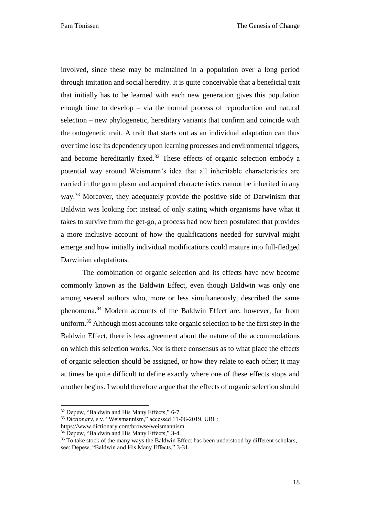Pam Tönissen The Genesis of Change

involved, since these may be maintained in a population over a long period through imitation and social heredity. It is quite conceivable that a beneficial trait that initially has to be learned with each new generation gives this population enough time to develop – via the normal process of reproduction and natural selection – new phylogenetic, hereditary variants that confirm and coincide with the ontogenetic trait. A trait that starts out as an individual adaptation can thus over time lose its dependency upon learning processes and environmental triggers, and become hereditarily fixed.<sup>32</sup> These effects of organic selection embody a potential way around Weismann's idea that all inheritable characteristics are carried in the germ plasm and acquired characteristics cannot be inherited in any way.<sup>33</sup> Moreover, they adequately provide the positive side of Darwinism that Baldwin was looking for: instead of only stating which organisms have what it takes to survive from the get-go, a process had now been postulated that provides a more inclusive account of how the qualifications needed for survival might emerge and how initially individual modifications could mature into full-fledged Darwinian adaptations.

The combination of organic selection and its effects have now become commonly known as the Baldwin Effect, even though Baldwin was only one among several authors who, more or less simultaneously, described the same phenomena.<sup>34</sup> Modern accounts of the Baldwin Effect are, however, far from uniform.<sup>35</sup> Although most accounts take organic selection to be the first step in the Baldwin Effect, there is less agreement about the nature of the accommodations on which this selection works. Nor is there consensus as to what place the effects of organic selection should be assigned, or how they relate to each other; it may at times be quite difficult to define exactly where one of these effects stops and another begins. I would therefore argue that the effects of organic selection should

<sup>32</sup> Depew, "Baldwin and His Many Effects," 6-7.

<sup>33</sup> *Dictionary*, s.v. "Weismannism," accessed 11-06-2019, URL:

https://www.dictionary.com/browse/weismannism.

<sup>&</sup>lt;sup>34</sup> Depew, "Baldwin and His Many Effects," 3-4.

 $35$  To take stock of the many ways the Baldwin Effect has been understood by different scholars, see: Depew, "Baldwin and His Many Effects," 3-31.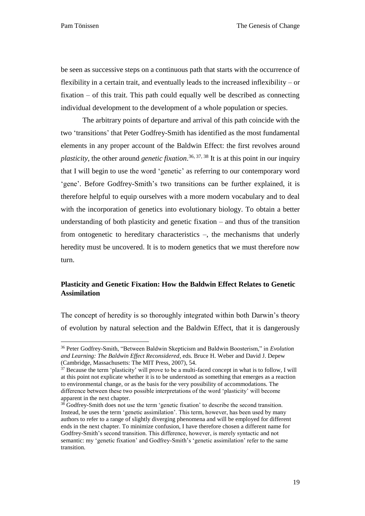$\overline{a}$ 

be seen as successive steps on a continuous path that starts with the occurrence of flexibility in a certain trait, and eventually leads to the increased inflexibility – or fixation – of this trait. This path could equally well be described as connecting individual development to the development of a whole population or species.

The arbitrary points of departure and arrival of this path coincide with the two 'transitions' that Peter Godfrey-Smith has identified as the most fundamental elements in any proper account of the Baldwin Effect: the first revolves around *plasticity*, the other around *genetic fixation*. 36, 37, 38 It is at this point in our inquiry that I will begin to use the word 'genetic' as referring to our contemporary word 'gene'. Before Godfrey-Smith's two transitions can be further explained, it is therefore helpful to equip ourselves with a more modern vocabulary and to deal with the incorporation of genetics into evolutionary biology. To obtain a better understanding of both plasticity and genetic fixation – and thus of the transition from ontogenetic to hereditary characteristics –, the mechanisms that underly heredity must be uncovered. It is to modern genetics that we must therefore now turn.

## <span id="page-19-0"></span>**Plasticity and Genetic Fixation: How the Baldwin Effect Relates to Genetic Assimilation**

The concept of heredity is so thoroughly integrated within both Darwin's theory of evolution by natural selection and the Baldwin Effect, that it is dangerously

<sup>36</sup> Peter Godfrey-Smith, "Between Baldwin Skepticism and Baldwin Boosterism," in *Evolution and Learning: The Baldwin Effect Reconsidered*, eds. Bruce H. Weber and David J. Depew (Cambridge, Massachusetts: The MIT Press, 2007), 54.

<sup>&</sup>lt;sup>37</sup> Because the term 'plasticity' will prove to be a multi-faced concept in what is to follow, I will at this point not explicate whether it is to be understood as something that emerges as a reaction to environmental change, or as the basis for the very possibility of accommodations. The difference between these two possible interpretations of the word 'plasticity' will become apparent in the next chapter.

 $38$  Godfrey-Smith does not use the term 'genetic fixation' to describe the second transition. Instead, he uses the term 'genetic assimilation'. This term, however, has been used by many authors to refer to a range of slightly diverging phenomena and will be employed for different ends in the next chapter. To minimize confusion, I have therefore chosen a different name for Godfrey-Smith's second transition. This difference, however, is merely syntactic and not semantic: my 'genetic fixation' and Godfrey-Smith's 'genetic assimilation' refer to the same transition.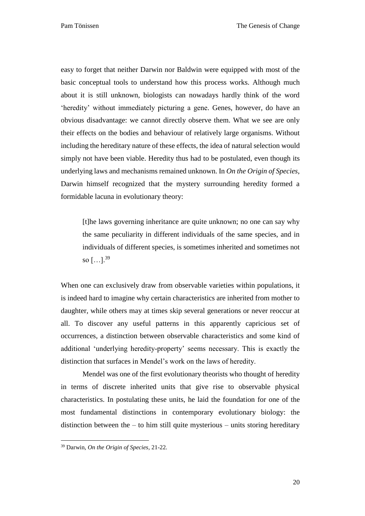easy to forget that neither Darwin nor Baldwin were equipped with most of the basic conceptual tools to understand how this process works. Although much about it is still unknown, biologists can nowadays hardly think of the word 'heredity' without immediately picturing a gene. Genes, however, do have an obvious disadvantage: we cannot directly observe them. What we see are only their effects on the bodies and behaviour of relatively large organisms. Without including the hereditary nature of these effects, the idea of natural selection would simply not have been viable. Heredity thus had to be postulated, even though its underlying laws and mechanisms remained unknown. In *On the Origin of Species*, Darwin himself recognized that the mystery surrounding heredity formed a formidable lacuna in evolutionary theory:

[t]he laws governing inheritance are quite unknown; no one can say why the same peculiarity in different individuals of the same species, and in individuals of different species, is sometimes inherited and sometimes not so  $[...]^{39}$ 

When one can exclusively draw from observable varieties within populations, it is indeed hard to imagine why certain characteristics are inherited from mother to daughter, while others may at times skip several generations or never reoccur at all. To discover any useful patterns in this apparently capricious set of occurrences, a distinction between observable characteristics and some kind of additional 'underlying heredity-property' seems necessary. This is exactly the distinction that surfaces in Mendel's work on the laws of heredity.

Mendel was one of the first evolutionary theorists who thought of heredity in terms of discrete inherited units that give rise to observable physical characteristics. In postulating these units, he laid the foundation for one of the most fundamental distinctions in contemporary evolutionary biology: the distinction between the  $-$  to him still quite mysterious  $-$  units storing hereditary

 $\ddot{\phantom{a}}$ 

<sup>39</sup> Darwin, *On the Origin of Species*, 21-22.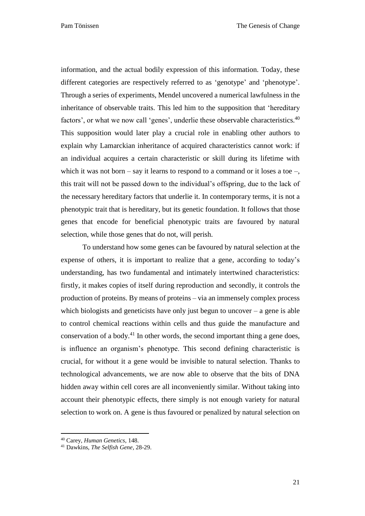information, and the actual bodily expression of this information. Today, these different categories are respectively referred to as 'genotype' and 'phenotype'. Through a series of experiments, Mendel uncovered a numerical lawfulness in the inheritance of observable traits. This led him to the supposition that 'hereditary factors', or what we now call 'genes', underlie these observable characteristics.<sup>40</sup> This supposition would later play a crucial role in enabling other authors to explain why Lamarckian inheritance of acquired characteristics cannot work: if an individual acquires a certain characteristic or skill during its lifetime with which it was not born – say it learns to respond to a command or it loses a toe –, this trait will not be passed down to the individual's offspring, due to the lack of the necessary hereditary factors that underlie it. In contemporary terms, it is not a phenotypic trait that is hereditary, but its genetic foundation. It follows that those genes that encode for beneficial phenotypic traits are favoured by natural selection, while those genes that do not, will perish.

To understand how some genes can be favoured by natural selection at the expense of others, it is important to realize that a gene, according to today's understanding, has two fundamental and intimately intertwined characteristics: firstly, it makes copies of itself during reproduction and secondly, it controls the production of proteins. By means of proteins – via an immensely complex process which biologists and geneticists have only just begun to uncover  $-$  a gene is able to control chemical reactions within cells and thus guide the manufacture and conservation of a body.<sup>41</sup> In other words, the second important thing a gene does, is influence an organism's phenotype. This second defining characteristic is crucial, for without it a gene would be invisible to natural selection. Thanks to technological advancements, we are now able to observe that the bits of DNA hidden away within cell cores are all inconveniently similar. Without taking into account their phenotypic effects, there simply is not enough variety for natural selection to work on. A gene is thus favoured or penalized by natural selection on

<sup>40</sup> Carey, *Human Genetics*, 148.

<sup>41</sup> Dawkins, *The Selfish Gene*, 28-29.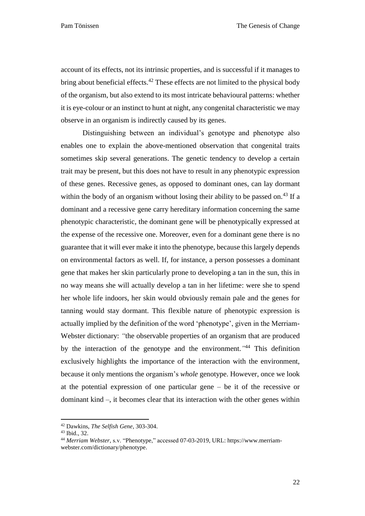account of its effects, not its intrinsic properties, and is successful if it manages to bring about beneficial effects.<sup>42</sup> These effects are not limited to the physical body of the organism, but also extend to its most intricate behavioural patterns: whether it is eye-colour or an instinct to hunt at night, any congenital characteristic we may observe in an organism is indirectly caused by its genes.

Distinguishing between an individual's genotype and phenotype also enables one to explain the above-mentioned observation that congenital traits sometimes skip several generations. The genetic tendency to develop a certain trait may be present, but this does not have to result in any phenotypic expression of these genes. Recessive genes, as opposed to dominant ones, can lay dormant within the body of an organism without losing their ability to be passed on.<sup>43</sup> If a dominant and a recessive gene carry hereditary information concerning the same phenotypic characteristic, the dominant gene will be phenotypically expressed at the expense of the recessive one. Moreover, even for a dominant gene there is no guarantee that it will ever make it into the phenotype, because this largely depends on environmental factors as well. If, for instance, a person possesses a dominant gene that makes her skin particularly prone to developing a tan in the sun, this in no way means she will actually develop a tan in her lifetime: were she to spend her whole life indoors, her skin would obviously remain pale and the genes for tanning would stay dormant. This flexible nature of phenotypic expression is actually implied by the definition of the word 'phenotype', given in the Merriam-Webster dictionary: *"*the observable properties of an organism that are produced by the interaction of the genotype and the environment.*"* <sup>44</sup> This definition exclusively highlights the importance of the interaction with the environment, because it only mentions the organism's *whole* genotype. However, once we look at the potential expression of one particular gene – be it of the recessive or dominant kind –, it becomes clear that its interaction with the other genes within

<sup>42</sup> Dawkins, *The Selfish Gene*, 303-304.

<sup>43</sup> Ibid., 32.

<sup>44</sup> *Merriam Webster*, s.v. "Phenotype," accessed 07-03-2019, URL: https://www.merriamwebster.com/dictionary/phenotype.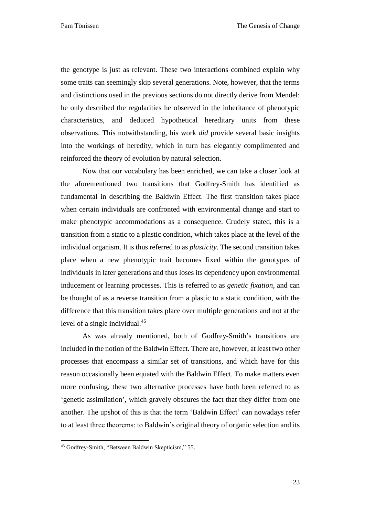the genotype is just as relevant. These two interactions combined explain why some traits can seemingly skip several generations. Note, however, that the terms and distinctions used in the previous sections do not directly derive from Mendel: he only described the regularities he observed in the inheritance of phenotypic characteristics, and deduced hypothetical hereditary units from these observations. This notwithstanding, his work *did* provide several basic insights into the workings of heredity, which in turn has elegantly complimented and reinforced the theory of evolution by natural selection.

Now that our vocabulary has been enriched, we can take a closer look at the aforementioned two transitions that Godfrey-Smith has identified as fundamental in describing the Baldwin Effect. The first transition takes place when certain individuals are confronted with environmental change and start to make phenotypic accommodations as a consequence. Crudely stated, this is a transition from a static to a plastic condition, which takes place at the level of the individual organism. It is thus referred to as *plasticity*. The second transition takes place when a new phenotypic trait becomes fixed within the genotypes of individuals in later generations and thus loses its dependency upon environmental inducement or learning processes. This is referred to as *genetic fixation*, and can be thought of as a reverse transition from a plastic to a static condition, with the difference that this transition takes place over multiple generations and not at the level of a single individual.<sup>45</sup>

As was already mentioned, both of Godfrey-Smith's transitions are included in the notion of the Baldwin Effect. There are, however, at least two other processes that encompass a similar set of transitions, and which have for this reason occasionally been equated with the Baldwin Effect. To make matters even more confusing, these two alternative processes have both been referred to as 'genetic assimilation', which gravely obscures the fact that they differ from one another. The upshot of this is that the term 'Baldwin Effect' can nowadays refer to at least three theorems: to Baldwin's original theory of organic selection and its

<sup>45</sup> Godfrey-Smith, "Between Baldwin Skepticism," 55.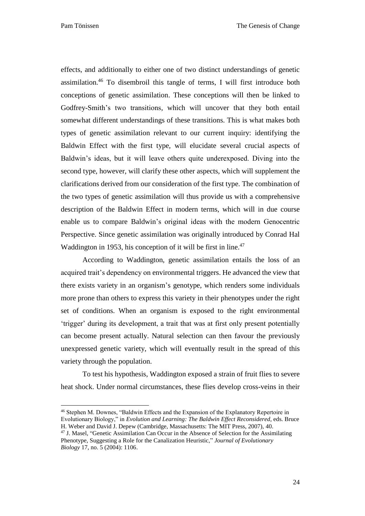$\overline{a}$ 

effects, and additionally to either one of two distinct understandings of genetic assimilation.<sup>46</sup> To disembroil this tangle of terms, I will first introduce both conceptions of genetic assimilation. These conceptions will then be linked to Godfrey-Smith's two transitions, which will uncover that they both entail somewhat different understandings of these transitions. This is what makes both types of genetic assimilation relevant to our current inquiry: identifying the Baldwin Effect with the first type, will elucidate several crucial aspects of Baldwin's ideas, but it will leave others quite underexposed. Diving into the second type, however, will clarify these other aspects, which will supplement the clarifications derived from our consideration of the first type. The combination of the two types of genetic assimilation will thus provide us with a comprehensive description of the Baldwin Effect in modern terms, which will in due course enable us to compare Baldwin's original ideas with the modern Genocentric Perspective. Since genetic assimilation was originally introduced by Conrad Hal Waddington in 1953, his conception of it will be first in line.<sup>47</sup>

According to Waddington, genetic assimilation entails the loss of an acquired trait's dependency on environmental triggers. He advanced the view that there exists variety in an organism's genotype, which renders some individuals more prone than others to express this variety in their phenotypes under the right set of conditions. When an organism is exposed to the right environmental 'trigger' during its development, a trait that was at first only present potentially can become present actually. Natural selection can then favour the previously unexpressed genetic variety, which will eventually result in the spread of this variety through the population.

To test his hypothesis, Waddington exposed a strain of fruit flies to severe heat shock. Under normal circumstances, these flies develop cross-veins in their

<sup>46</sup> Stephen M. Downes, "Baldwin Effects and the Expansion of the Explanatory Repertoire in Evolutionary Biology," in *Evolution and Learning: The Baldwin Effect Reconsidered*, eds. Bruce H. Weber and David J. Depew (Cambridge, Massachusetts: The MIT Press, 2007), 40.

<sup>&</sup>lt;sup>47</sup> J. Masel, "Genetic Assimilation Can Occur in the Absence of Selection for the Assimilating Phenotype, Suggesting a Role for the Canalization Heuristic," *Journal of Evolutionary Biology* 17, no. 5 (2004): 1106.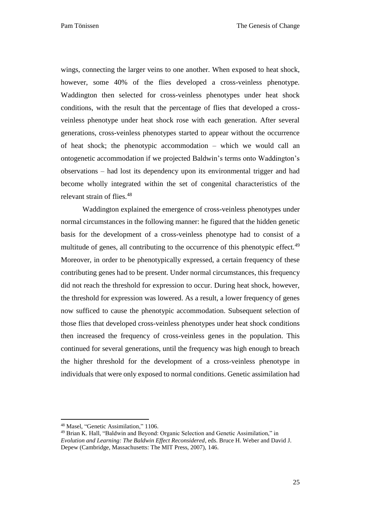Pam Tönissen The Genesis of Change

wings, connecting the larger veins to one another. When exposed to heat shock, however, some 40% of the flies developed a cross-veinless phenotype. Waddington then selected for cross-veinless phenotypes under heat shock conditions, with the result that the percentage of flies that developed a crossveinless phenotype under heat shock rose with each generation. After several generations, cross-veinless phenotypes started to appear without the occurrence of heat shock; the phenotypic accommodation – which we would call an ontogenetic accommodation if we projected Baldwin's terms onto Waddington's observations – had lost its dependency upon its environmental trigger and had become wholly integrated within the set of congenital characteristics of the relevant strain of flies.<sup>48</sup>

Waddington explained the emergence of cross-veinless phenotypes under normal circumstances in the following manner: he figured that the hidden genetic basis for the development of a cross-veinless phenotype had to consist of a multitude of genes, all contributing to the occurrence of this phenotypic effect.<sup>49</sup> Moreover, in order to be phenotypically expressed, a certain frequency of these contributing genes had to be present. Under normal circumstances, this frequency did not reach the threshold for expression to occur. During heat shock, however, the threshold for expression was lowered. As a result, a lower frequency of genes now sufficed to cause the phenotypic accommodation. Subsequent selection of those flies that developed cross-veinless phenotypes under heat shock conditions then increased the frequency of cross-veinless genes in the population. This continued for several generations, until the frequency was high enough to breach the higher threshold for the development of a cross-veinless phenotype in individuals that were only exposed to normal conditions. Genetic assimilation had

<sup>48</sup> Masel, "Genetic Assimilation," 1106.

<sup>49</sup> Brian K. Hall, "Baldwin and Beyond: Organic Selection and Genetic Assimilation," in *Evolution and Learning: The Baldwin Effect Reconsidered*, eds. Bruce H. Weber and David J. Depew (Cambridge, Massachusetts: The MIT Press, 2007), 146.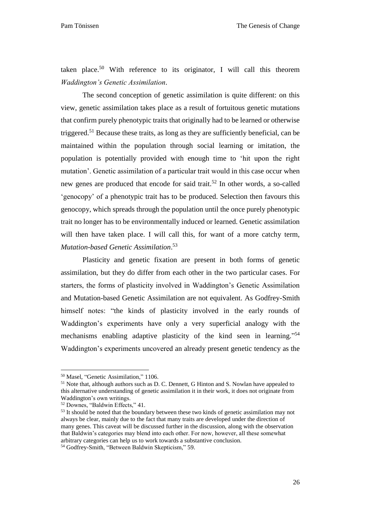taken place.<sup>50</sup> With reference to its originator, I will call this theorem *Waddington's Genetic Assimilation*.

The second conception of genetic assimilation is quite different: on this view, genetic assimilation takes place as a result of fortuitous genetic mutations that confirm purely phenotypic traits that originally had to be learned or otherwise triggered.<sup>51</sup> Because these traits, as long as they are sufficiently beneficial, can be maintained within the population through social learning or imitation, the population is potentially provided with enough time to 'hit upon the right mutation'. Genetic assimilation of a particular trait would in this case occur when new genes are produced that encode for said trait.<sup>52</sup> In other words, a so-called 'genocopy' of a phenotypic trait has to be produced. Selection then favours this genocopy, which spreads through the population until the once purely phenotypic trait no longer has to be environmentally induced or learned. Genetic assimilation will then have taken place. I will call this, for want of a more catchy term, *Mutation-based Genetic Assimilation*. 53

Plasticity and genetic fixation are present in both forms of genetic assimilation, but they do differ from each other in the two particular cases. For starters, the forms of plasticity involved in Waddington's Genetic Assimilation and Mutation-based Genetic Assimilation are not equivalent. As Godfrey-Smith himself notes: "the kinds of plasticity involved in the early rounds of Waddington's experiments have only a very superficial analogy with the mechanisms enabling adaptive plasticity of the kind seen in learning." 54 Waddington's experiments uncovered an already present genetic tendency as the

<sup>50</sup> Masel, "Genetic Assimilation," 1106.

 $51$  Note that, although authors such as D. C. Dennett, G Hinton and S. Nowlan have appealed to this alternative understanding of genetic assimilation it in their work, it does not originate from Waddington's own writings.

<sup>52</sup> Downes, "Baldwin Effects," 41.

<sup>&</sup>lt;sup>53</sup> It should be noted that the boundary between these two kinds of genetic assimilation may not always be clear, mainly due to the fact that many traits are developed under the direction of many genes. This caveat will be discussed further in the discussion, along with the observation that Baldwin's categories may blend into each other. For now, however, all these somewhat arbitrary categories can help us to work towards a substantive conclusion. <sup>54</sup> Godfrey-Smith, "Between Baldwin Skepticism," 59.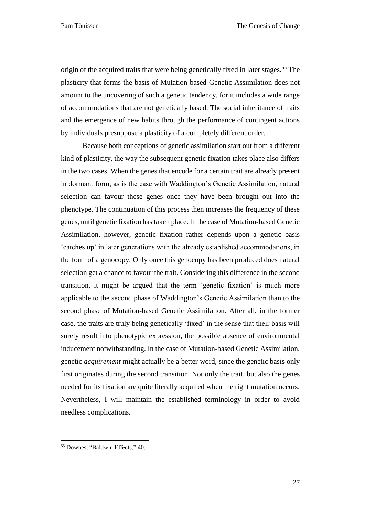origin of the acquired traits that were being genetically fixed in later stages.<sup>55</sup> The plasticity that forms the basis of Mutation-based Genetic Assimilation does not amount to the uncovering of such a genetic tendency, for it includes a wide range of accommodations that are not genetically based. The social inheritance of traits and the emergence of new habits through the performance of contingent actions by individuals presuppose a plasticity of a completely different order.

Because both conceptions of genetic assimilation start out from a different kind of plasticity, the way the subsequent genetic fixation takes place also differs in the two cases. When the genes that encode for a certain trait are already present in dormant form, as is the case with Waddington's Genetic Assimilation, natural selection can favour these genes once they have been brought out into the phenotype. The continuation of this process then increases the frequency of these genes, until genetic fixation has taken place. In the case of Mutation-based Genetic Assimilation, however, genetic fixation rather depends upon a genetic basis 'catches up' in later generations with the already established accommodations, in the form of a genocopy. Only once this genocopy has been produced does natural selection get a chance to favour the trait. Considering this difference in the second transition, it might be argued that the term 'genetic fixation' is much more applicable to the second phase of Waddington's Genetic Assimilation than to the second phase of Mutation-based Genetic Assimilation. After all, in the former case, the traits are truly being genetically 'fixed' in the sense that their basis will surely result into phenotypic expression, the possible absence of environmental inducement notwithstanding. In the case of Mutation-based Genetic Assimilation, genetic *acquirement* might actually be a better word, since the genetic basis only first originates during the second transition. Not only the trait, but also the genes needed for its fixation are quite literally acquired when the right mutation occurs. Nevertheless, I will maintain the established terminology in order to avoid needless complications.

<sup>55</sup> Downes, "Baldwin Effects," 40.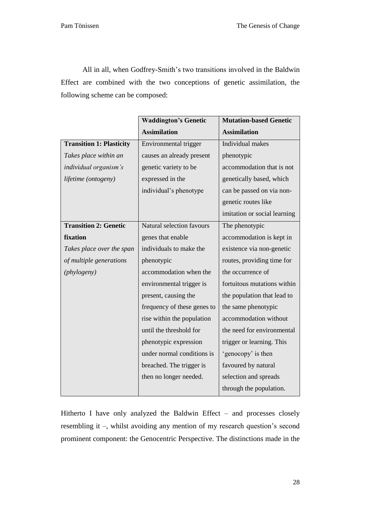All in all, when Godfrey-Smith's two transitions involved in the Baldwin Effect are combined with the two conceptions of genetic assimilation, the following scheme can be composed:

|                                 | <b>Waddington's Genetic</b> | <b>Mutation-based Genetic</b> |
|---------------------------------|-----------------------------|-------------------------------|
|                                 | <b>Assimilation</b>         | <b>Assimilation</b>           |
| <b>Transition 1: Plasticity</b> | Environmental trigger       | Individual makes              |
| Takes place within an           | causes an already present   | phenotypic                    |
| individual organism's           | genetic variety to be       | accommodation that is not     |
| lifetime (ontogeny)             | expressed in the            | genetically based, which      |
|                                 | individual's phenotype      | can be passed on via non-     |
|                                 |                             | genetic routes like           |
|                                 |                             | imitation or social learning  |
| <b>Transition 2: Genetic</b>    | Natural selection favours   | The phenotypic                |
| fixation                        | genes that enable           | accommodation is kept in      |
| Takes place over the span       | individuals to make the     | existence via non-genetic     |
| of multiple generations         | phenotypic                  | routes, providing time for    |
| (phylogeny)                     | accommodation when the      | the occurrence of             |
|                                 | environmental trigger is    | fortuitous mutations within   |
|                                 | present, causing the        | the population that lead to   |
|                                 | frequency of these genes to | the same phenotypic           |
|                                 | rise within the population  | accommodation without         |
|                                 | until the threshold for     | the need for environmental    |
|                                 | phenotypic expression       | trigger or learning. This     |
|                                 | under normal conditions is  | 'genocopy' is then            |
|                                 | breached. The trigger is    | favoured by natural           |
|                                 | then no longer needed.      | selection and spreads         |
|                                 |                             | through the population.       |

Hitherto I have only analyzed the Baldwin Effect – and processes closely resembling it –, whilst avoiding any mention of my research question's second prominent component: the Genocentric Perspective. The distinctions made in the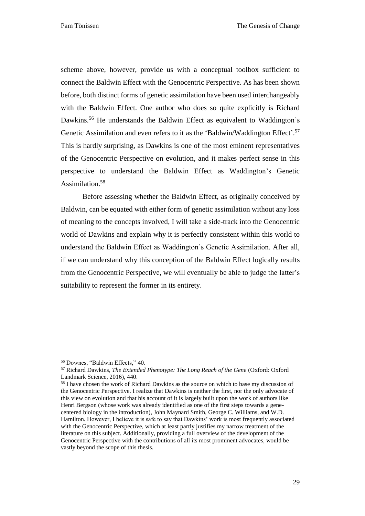scheme above, however, provide us with a conceptual toolbox sufficient to connect the Baldwin Effect with the Genocentric Perspective. As has been shown before, both distinct forms of genetic assimilation have been used interchangeably with the Baldwin Effect. One author who does so quite explicitly is Richard Dawkins.<sup>56</sup> He understands the Baldwin Effect as equivalent to Waddington's Genetic Assimilation and even refers to it as the 'Baldwin/Waddington Effect'.<sup>57</sup> This is hardly surprising, as Dawkins is one of the most eminent representatives of the Genocentric Perspective on evolution, and it makes perfect sense in this perspective to understand the Baldwin Effect as Waddington's Genetic Assimilation.<sup>58</sup>

Before assessing whether the Baldwin Effect, as originally conceived by Baldwin, can be equated with either form of genetic assimilation without any loss of meaning to the concepts involved, I will take a side-track into the Genocentric world of Dawkins and explain why it is perfectly consistent within this world to understand the Baldwin Effect as Waddington's Genetic Assimilation. After all, if we can understand why this conception of the Baldwin Effect logically results from the Genocentric Perspective, we will eventually be able to judge the latter's suitability to represent the former in its entirety.

<sup>56</sup> Downes, "Baldwin Effects," 40.

<sup>57</sup> Richard Dawkins, *The Extended Phenotype: The Long Reach of the Gene* (Oxford: Oxford Landmark Science, 2016), 440.

<sup>&</sup>lt;sup>58</sup> I have chosen the work of Richard Dawkins as the source on which to base my discussion of the Genocentric Perspective. I realize that Dawkins is neither the first, nor the only advocate of this view on evolution and that his account of it is largely built upon the work of authors like Henri Bergson (whose work was already identified as one of the first steps towards a genecentered biology in the introduction), John Maynard Smith, George C. Williams, and W.D. Hamilton. However, I believe it is safe to say that Dawkins' work is most frequently associated with the Genocentric Perspective, which at least partly justifies my narrow treatment of the literature on this subject. Additionally, providing a full overview of the development of the Genocentric Perspective with the contributions of all its most prominent advocates, would be vastly beyond the scope of this thesis.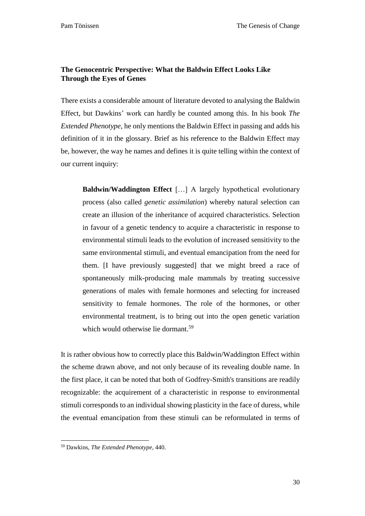## <span id="page-30-0"></span>**The Genocentric Perspective: What the Baldwin Effect Looks Like Through the Eyes of Genes**

There exists a considerable amount of literature devoted to analysing the Baldwin Effect, but Dawkins' work can hardly be counted among this. In his book *The Extended Phenotype*, he only mentions the Baldwin Effect in passing and adds his definition of it in the glossary. Brief as his reference to the Baldwin Effect may be, however, the way he names and defines it is quite telling within the context of our current inquiry:

**Baldwin/Waddington Effect** […] A largely hypothetical evolutionary process (also called *genetic assimilation*) whereby natural selection can create an illusion of the inheritance of acquired characteristics. Selection in favour of a genetic tendency to acquire a characteristic in response to environmental stimuli leads to the evolution of increased sensitivity to the same environmental stimuli, and eventual emancipation from the need for them. [I have previously suggested] that we might breed a race of spontaneously milk-producing male mammals by treating successive generations of males with female hormones and selecting for increased sensitivity to female hormones. The role of the hormones, or other environmental treatment, is to bring out into the open genetic variation which would otherwise lie dormant.<sup>59</sup>

It is rather obvious how to correctly place this Baldwin/Waddington Effect within the scheme drawn above, and not only because of its revealing double name. In the first place, it can be noted that both of Godfrey-Smith's transitions are readily recognizable: the acquirement of a characteristic in response to environmental stimuli corresponds to an individual showing plasticity in the face of duress, while the eventual emancipation from these stimuli can be reformulated in terms of

 $\overline{a}$ <sup>59</sup> Dawkins, *The Extended Phenotype*, 440.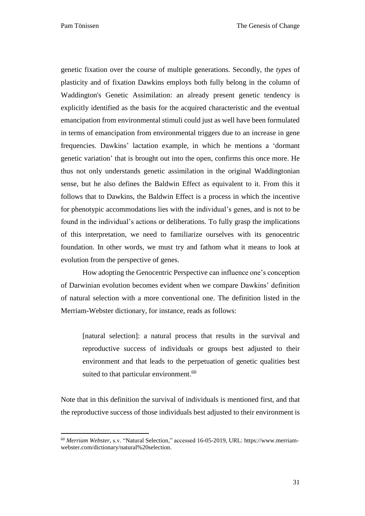$\overline{a}$ 

genetic fixation over the course of multiple generations. Secondly, the *types* of plasticity and of fixation Dawkins employs both fully belong in the column of Waddington's Genetic Assimilation: an already present genetic tendency is explicitly identified as the basis for the acquired characteristic and the eventual emancipation from environmental stimuli could just as well have been formulated in terms of emancipation from environmental triggers due to an increase in gene frequencies. Dawkins' lactation example, in which he mentions a 'dormant genetic variation' that is brought out into the open, confirms this once more. He thus not only understands genetic assimilation in the original Waddingtonian sense, but he also defines the Baldwin Effect as equivalent to it. From this it follows that to Dawkins, the Baldwin Effect is a process in which the incentive for phenotypic accommodations lies with the individual's genes, and is not to be found in the individual's actions or deliberations. To fully grasp the implications of this interpretation, we need to familiarize ourselves with its genocentric foundation. In other words, we must try and fathom what it means to look at evolution from the perspective of genes.

How adopting the Genocentric Perspective can influence one's conception of Darwinian evolution becomes evident when we compare Dawkins' definition of natural selection with a more conventional one. The definition listed in the Merriam-Webster dictionary, for instance, reads as follows:

[natural selection]: a natural process that results in the survival and reproductive success of individuals or groups best adjusted to their environment and that leads to the perpetuation of genetic qualities best suited to that particular environment.<sup>60</sup>

Note that in this definition the survival of individuals is mentioned first, and that the reproductive success of those individuals best adjusted to their environment is

<sup>60</sup> *Merriam Webster*, s.v. "Natural Selection," accessed 16-05-2019, URL: https://www.merriamwebster.com/dictionary/natural%20selection.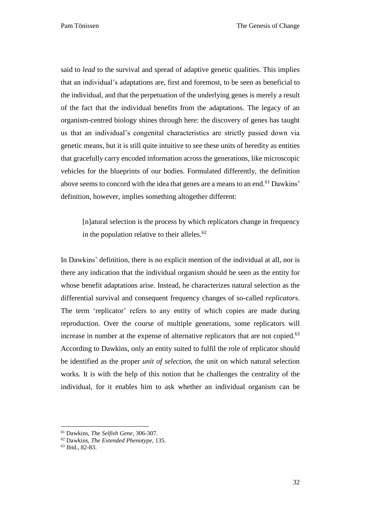said to *lead* to the survival and spread of adaptive genetic qualities. This implies that an individual's adaptations are, first and foremost, to be seen as beneficial to the individual, and that the perpetuation of the underlying genes is merely a result of the fact that the individual benefits from the adaptations. The legacy of an organism-centred biology shines through here: the discovery of genes has taught us that an individual's congenital characteristics are strictly passed down via genetic means, but it is still quite intuitive to see these units of heredity as entities that gracefully carry encoded information across the generations, like microscopic vehicles for the blueprints of our bodies. Formulated differently, the definition above seems to concord with the idea that genes are a means to an end.<sup>61</sup> Dawkins' definition, however, implies something altogether different:

[n]atural selection is the process by which replicators change in frequency in the population relative to their alleles. $62$ 

In Dawkins' definition, there is no explicit mention of the individual at all, nor is there any indication that the individual organism should be seen as the entity for whose benefit adaptations arise. Instead, he characterizes natural selection as the differential survival and consequent frequency changes of so-called *replicators*. The term 'replicator' refers to any entity of which copies are made during reproduction. Over the course of multiple generations, some replicators will increase in number at the expense of alternative replicators that are not copied. 63 According to Dawkins, only an entity suited to fulfil the role of replicator should be identified as the proper *unit of selection*, the unit on which natural selection works. It is with the help of this notion that he challenges the centrality of the individual, for it enables him to ask whether an individual organism can be

<sup>61</sup> Dawkins, *The Selfish Gene*, 306-307.

<sup>62</sup> Dawkins, *The Extended Phenotype*, 135.

<sup>63</sup> Ibid., 82-83.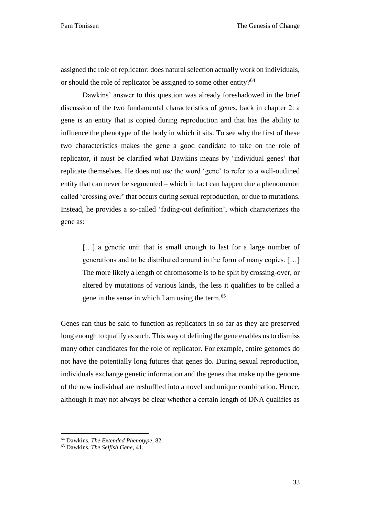assigned the role of replicator: does natural selection actually work on individuals, or should the role of replicator be assigned to some other entity?<sup>64</sup>

Dawkins' answer to this question was already foreshadowed in the brief discussion of the two fundamental characteristics of genes, back in chapter 2: a gene is an entity that is copied during reproduction and that has the ability to influence the phenotype of the body in which it sits. To see why the first of these two characteristics makes the gene a good candidate to take on the role of replicator, it must be clarified what Dawkins means by 'individual genes' that replicate themselves. He does not use the word 'gene' to refer to a well-outlined entity that can never be segmented – which in fact can happen due a phenomenon called 'crossing over' that occurs during sexual reproduction, or due to mutations. Instead, he provides a so-called 'fading-out definition', which characterizes the gene as:

[...] a genetic unit that is small enough to last for a large number of generations and to be distributed around in the form of many copies. […] The more likely a length of chromosome is to be split by crossing-over, or altered by mutations of various kinds, the less it qualifies to be called a gene in the sense in which I am using the term.<sup>65</sup>

Genes can thus be said to function as replicators in so far as they are preserved long enough to qualify as such. This way of defining the gene enables us to dismiss many other candidates for the role of replicator. For example, entire genomes do not have the potentially long futures that genes do. During sexual reproduction, individuals exchange genetic information and the genes that make up the genome of the new individual are reshuffled into a novel and unique combination. Hence, although it may not always be clear whether a certain length of DNA qualifies as

<sup>64</sup> Dawkins, *The Extended Phenotype*, 82.

<sup>65</sup> Dawkins, *The Selfish Gene*, 41.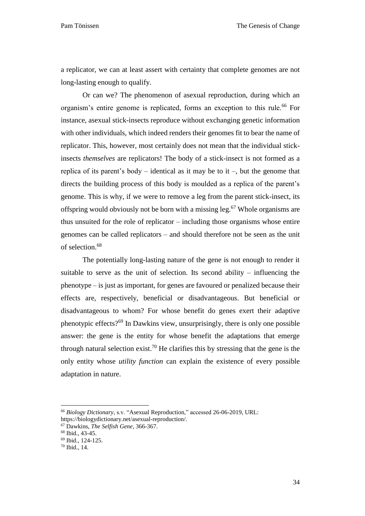a replicator, we can at least assert with certainty that complete genomes are not long-lasting enough to qualify.

Or can we? The phenomenon of asexual reproduction, during which an organism's entire genome is replicated, forms an exception to this rule.<sup>66</sup> For instance, asexual stick-insects reproduce without exchanging genetic information with other individuals, which indeed renders their genomes fit to bear the name of replicator. This, however, most certainly does not mean that the individual stickinsects *themselves* are replicators! The body of a stick-insect is not formed as a replica of its parent's body – identical as it may be to it –, but the genome that directs the building process of this body is moulded as a replica of the parent's genome. This is why, if we were to remove a leg from the parent stick-insect, its offspring would obviously not be born with a missing leg. <sup>67</sup> Whole organisms are thus unsuited for the role of replicator – including those organisms whose entire genomes can be called replicators – and should therefore not be seen as the unit of selection. 68

The potentially long-lasting nature of the gene is not enough to render it suitable to serve as the unit of selection. Its second ability – influencing the phenotype – is just as important, for genes are favoured or penalized because their effects are, respectively, beneficial or disadvantageous. But beneficial or disadvantageous to whom? For whose benefit do genes exert their adaptive phenotypic effects?<sup>69</sup> In Dawkins view, unsurprisingly, there is only one possible answer: the gene is the entity for whose benefit the adaptations that emerge through natural selection exist.<sup>70</sup> He clarifies this by stressing that the gene is the only entity whose *utility function* can explain the existence of every possible adaptation in nature.

<sup>66</sup> *Biology Dictionary*, s.v. "Asexual Reproduction," accessed 26-06-2019, URL:

https://biologydictionary.net/asexual-reproduction/.

<sup>67</sup> Dawkins, *The Selfish Gene*, 366-367.

<sup>68</sup> Ibid., 43-45.

<sup>69</sup> Ibid., 124-125.

<sup>70</sup> Ibid., 14.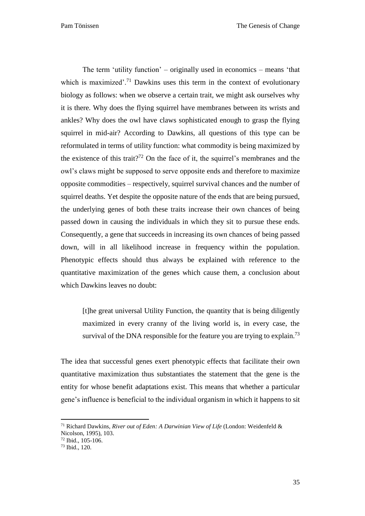Pam Tönissen The Genesis of Change

The term 'utility function' – originally used in economics – means 'that which is maximized'.<sup>71</sup> Dawkins uses this term in the context of evolutionary biology as follows: when we observe a certain trait, we might ask ourselves why it is there. Why does the flying squirrel have membranes between its wrists and ankles? Why does the owl have claws sophisticated enough to grasp the flying squirrel in mid-air? According to Dawkins, all questions of this type can be reformulated in terms of utility function: what commodity is being maximized by the existence of this trait?<sup>72</sup> On the face of it, the squirrel's membranes and the owl's claws might be supposed to serve opposite ends and therefore to maximize opposite commodities – respectively, squirrel survival chances and the number of squirrel deaths. Yet despite the opposite nature of the ends that are being pursued, the underlying genes of both these traits increase their own chances of being passed down in causing the individuals in which they sit to pursue these ends. Consequently, a gene that succeeds in increasing its own chances of being passed down, will in all likelihood increase in frequency within the population. Phenotypic effects should thus always be explained with reference to the quantitative maximization of the genes which cause them, a conclusion about which Dawkins leaves no doubt:

[t]he great universal Utility Function, the quantity that is being diligently maximized in every cranny of the living world is, in every case, the survival of the DNA responsible for the feature you are trying to explain.<sup>73</sup>

The idea that successful genes exert phenotypic effects that facilitate their own quantitative maximization thus substantiates the statement that the gene is the entity for whose benefit adaptations exist. This means that whether a particular gene's influence is beneficial to the individual organism in which it happens to sit

<sup>71</sup> Richard Dawkins, *River out of Eden: A Darwinian View of Life* (London: Weidenfeld & Nicolson, 1995), 103.

 $72$  Ibid.,  $105 - 106$ .

 $73$  Ibid.,  $120$ .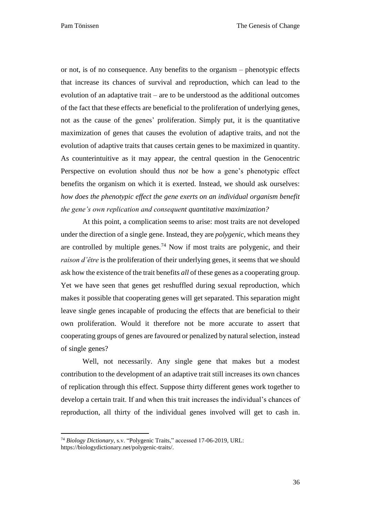or not, is of no consequence. Any benefits to the organism – phenotypic effects that increase its chances of survival and reproduction, which can lead to the evolution of an adaptative trait – are to be understood as the additional outcomes of the fact that these effects are beneficial to the proliferation of underlying genes, not as the cause of the genes' proliferation. Simply put, it is the quantitative maximization of genes that causes the evolution of adaptive traits, and not the evolution of adaptive traits that causes certain genes to be maximized in quantity. As counterintuitive as it may appear, the central question in the Genocentric Perspective on evolution should thus *not* be how a gene's phenotypic effect benefits the organism on which it is exerted. Instead, we should ask ourselves: *how does the phenotypic effect the gene exerts on an individual organism benefit the gene's own replication and consequent quantitative maximization?*

At this point, a complication seems to arise: most traits are not developed under the direction of a single gene. Instead, they are *polygenic*, which means they are controlled by multiple genes.<sup>74</sup> Now if most traits are polygenic, and their *raison d'être* is the proliferation of their underlying genes, it seems that we should ask how the existence of the trait benefits *all* of these genes as a cooperating group. Yet we have seen that genes get reshuffled during sexual reproduction, which makes it possible that cooperating genes will get separated. This separation might leave single genes incapable of producing the effects that are beneficial to their own proliferation. Would it therefore not be more accurate to assert that cooperating groups of genes are favoured or penalized by natural selection, instead of single genes?

Well, not necessarily. Any single gene that makes but a modest contribution to the development of an adaptive trait still increases its own chances of replication through this effect. Suppose thirty different genes work together to develop a certain trait. If and when this trait increases the individual's chances of reproduction, all thirty of the individual genes involved will get to cash in.

<sup>74</sup> *Biology Dictionary*, s.v. "Polygenic Traits," accessed 17-06-2019, URL: https://biologydictionary.net/polygenic-traits/.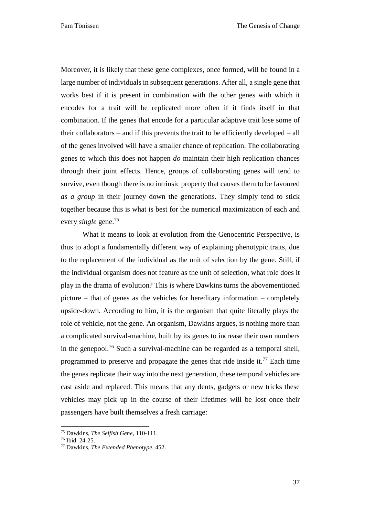Moreover, it is likely that these gene complexes, once formed, will be found in a large number of individuals in subsequent generations. After all, a single gene that works best if it is present in combination with the other genes with which it encodes for a trait will be replicated more often if it finds itself in that combination. If the genes that encode for a particular adaptive trait lose some of their collaborators – and if this prevents the trait to be efficiently developed – all of the genes involved will have a smaller chance of replication. The collaborating genes to which this does not happen *do* maintain their high replication chances through their joint effects. Hence, groups of collaborating genes will tend to survive, even though there is no intrinsic property that causes them to be favoured *as a group* in their journey down the generations. They simply tend to stick together because this is what is best for the numerical maximization of each and every *single* gene.<sup>75</sup>

What it means to look at evolution from the Genocentric Perspective, is thus to adopt a fundamentally different way of explaining phenotypic traits, due to the replacement of the individual as the unit of selection by the gene. Still, if the individual organism does not feature as the unit of selection, what role does it play in the drama of evolution? This is where Dawkins turns the abovementioned picture – that of genes as the vehicles for hereditary information – completely upside-down. According to him, it is the organism that quite literally plays the role of vehicle, not the gene. An organism, Dawkins argues, is nothing more than a complicated survival-machine, built by its genes to increase their own numbers in the genepool.<sup>76</sup> Such a survival-machine can be regarded as a temporal shell, programmed to preserve and propagate the genes that ride inside it.<sup>77</sup> Each time the genes replicate their way into the next generation, these temporal vehicles are cast aside and replaced. This means that any dents, gadgets or new tricks these vehicles may pick up in the course of their lifetimes will be lost once their passengers have built themselves a fresh carriage:

<sup>75</sup> Dawkins, *The Selfish Gene*, 110-111.

<sup>76</sup> Ibid. 24-25.

<sup>77</sup> Dawkins, *The Extended Phenotype*, 452.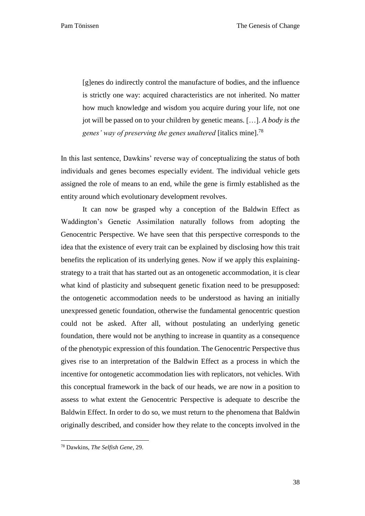[g]enes do indirectly control the manufacture of bodies, and the influence is strictly one way: acquired characteristics are not inherited. No matter how much knowledge and wisdom you acquire during your life, not one jot will be passed on to your children by genetic means. […]. *A body is the genes' way of preserving the genes unaltered* [italics mine].<sup>78</sup>

In this last sentence, Dawkins' reverse way of conceptualizing the status of both individuals and genes becomes especially evident. The individual vehicle gets assigned the role of means to an end, while the gene is firmly established as the entity around which evolutionary development revolves.

It can now be grasped why a conception of the Baldwin Effect as Waddington's Genetic Assimilation naturally follows from adopting the Genocentric Perspective. We have seen that this perspective corresponds to the idea that the existence of every trait can be explained by disclosing how this trait benefits the replication of its underlying genes. Now if we apply this explainingstrategy to a trait that has started out as an ontogenetic accommodation, it is clear what kind of plasticity and subsequent genetic fixation need to be presupposed: the ontogenetic accommodation needs to be understood as having an initially unexpressed genetic foundation, otherwise the fundamental genocentric question could not be asked. After all, without postulating an underlying genetic foundation, there would not be anything to increase in quantity as a consequence of the phenotypic expression of this foundation. The Genocentric Perspective thus gives rise to an interpretation of the Baldwin Effect as a process in which the incentive for ontogenetic accommodation lies with replicators, not vehicles. With this conceptual framework in the back of our heads, we are now in a position to assess to what extent the Genocentric Perspective is adequate to describe the Baldwin Effect. In order to do so, we must return to the phenomena that Baldwin originally described, and consider how they relate to the concepts involved in the

 $\ddot{\phantom{a}}$ 

<sup>78</sup> Dawkins, *The Selfish Gene*, 29.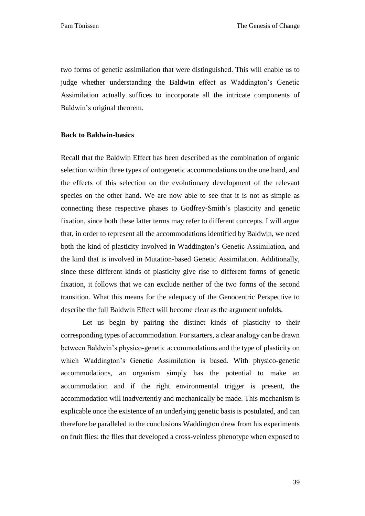two forms of genetic assimilation that were distinguished. This will enable us to judge whether understanding the Baldwin effect as Waddington's Genetic Assimilation actually suffices to incorporate all the intricate components of Baldwin's original theorem.

## <span id="page-39-0"></span>**Back to Baldwin-basics**

Recall that the Baldwin Effect has been described as the combination of organic selection within three types of ontogenetic accommodations on the one hand, and the effects of this selection on the evolutionary development of the relevant species on the other hand. We are now able to see that it is not as simple as connecting these respective phases to Godfrey-Smith's plasticity and genetic fixation, since both these latter terms may refer to different concepts. I will argue that, in order to represent all the accommodations identified by Baldwin, we need both the kind of plasticity involved in Waddington's Genetic Assimilation, and the kind that is involved in Mutation-based Genetic Assimilation. Additionally, since these different kinds of plasticity give rise to different forms of genetic fixation, it follows that we can exclude neither of the two forms of the second transition. What this means for the adequacy of the Genocentric Perspective to describe the full Baldwin Effect will become clear as the argument unfolds.

Let us begin by pairing the distinct kinds of plasticity to their corresponding types of accommodation. For starters, a clear analogy can be drawn between Baldwin's physico-genetic accommodations and the type of plasticity on which Waddington's Genetic Assimilation is based. With physico-genetic accommodations, an organism simply has the potential to make an accommodation and if the right environmental trigger is present, the accommodation will inadvertently and mechanically be made. This mechanism is explicable once the existence of an underlying genetic basis is postulated, and can therefore be paralleled to the conclusions Waddington drew from his experiments on fruit flies: the flies that developed a cross-veinless phenotype when exposed to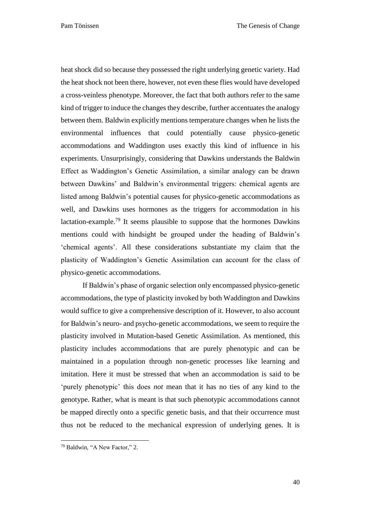heat shock did so because they possessed the right underlying genetic variety. Had the heat shock not been there, however, not even these flies would have developed a cross-veinless phenotype. Moreover, the fact that both authors refer to the same kind of trigger to induce the changes they describe, further accentuates the analogy between them. Baldwin explicitly mentions temperature changes when he lists the environmental influences that could potentially cause physico-genetic accommodations and Waddington uses exactly this kind of influence in his experiments. Unsurprisingly, considering that Dawkins understands the Baldwin Effect as Waddington's Genetic Assimilation, a similar analogy can be drawn between Dawkins' and Baldwin's environmental triggers: chemical agents are listed among Baldwin's potential causes for physico-genetic accommodations as well, and Dawkins uses hormones as the triggers for accommodation in his lactation-example.<sup>79</sup> It seems plausible to suppose that the hormones Dawkins mentions could with hindsight be grouped under the heading of Baldwin's 'chemical agents'. All these considerations substantiate my claim that the plasticity of Waddington's Genetic Assimilation can account for the class of physico-genetic accommodations.

If Baldwin's phase of organic selection only encompassed physico-genetic accommodations, the type of plasticity invoked by both Waddington and Dawkins would suffice to give a comprehensive description of it. However, to also account for Baldwin's neuro- and psycho-genetic accommodations, we seem to require the plasticity involved in Mutation-based Genetic Assimilation. As mentioned, this plasticity includes accommodations that are purely phenotypic and can be maintained in a population through non-genetic processes like learning and imitation. Here it must be stressed that when an accommodation is said to be 'purely phenotypic' this does *not* mean that it has no ties of any kind to the genotype. Rather, what is meant is that such phenotypic accommodations cannot be mapped directly onto a specific genetic basis, and that their occurrence must thus not be reduced to the mechanical expression of underlying genes. It is

 $\ddot{\phantom{a}}$ 

<sup>79</sup> Baldwin, "A New Factor," 2.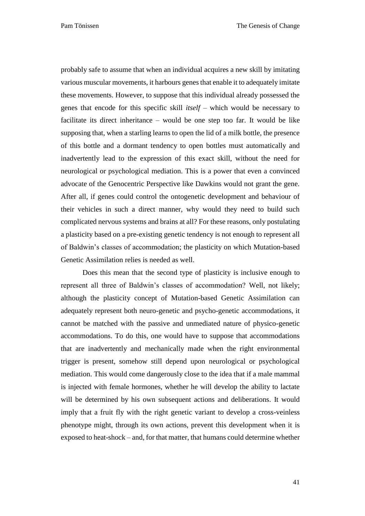probably safe to assume that when an individual acquires a new skill by imitating various muscular movements, it harbours genes that enable it to adequately imitate these movements. However, to suppose that this individual already possessed the genes that encode for this specific skill *itself* – which would be necessary to facilitate its direct inheritance – would be one step too far. It would be like supposing that, when a starling learns to open the lid of a milk bottle, the presence of this bottle and a dormant tendency to open bottles must automatically and inadvertently lead to the expression of this exact skill, without the need for neurological or psychological mediation. This is a power that even a convinced advocate of the Genocentric Perspective like Dawkins would not grant the gene. After all, if genes could control the ontogenetic development and behaviour of their vehicles in such a direct manner, why would they need to build such complicated nervous systems and brains at all? For these reasons, only postulating a plasticity based on a pre-existing genetic tendency is not enough to represent all of Baldwin's classes of accommodation; the plasticity on which Mutation-based Genetic Assimilation relies is needed as well.

Does this mean that the second type of plasticity is inclusive enough to represent all three of Baldwin's classes of accommodation? Well, not likely; although the plasticity concept of Mutation-based Genetic Assimilation can adequately represent both neuro-genetic and psycho-genetic accommodations, it cannot be matched with the passive and unmediated nature of physico-genetic accommodations. To do this, one would have to suppose that accommodations that are inadvertently and mechanically made when the right environmental trigger is present, somehow still depend upon neurological or psychological mediation. This would come dangerously close to the idea that if a male mammal is injected with female hormones, whether he will develop the ability to lactate will be determined by his own subsequent actions and deliberations. It would imply that a fruit fly with the right genetic variant to develop a cross-veinless phenotype might, through its own actions, prevent this development when it is exposed to heat-shock – and, for that matter, that humans could determine whether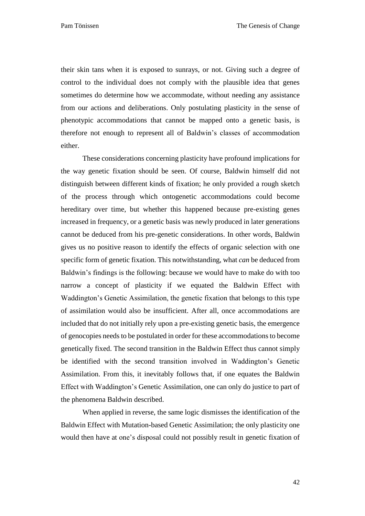their skin tans when it is exposed to sunrays, or not. Giving such a degree of control to the individual does not comply with the plausible idea that genes sometimes do determine how we accommodate, without needing any assistance from our actions and deliberations. Only postulating plasticity in the sense of phenotypic accommodations that cannot be mapped onto a genetic basis, is therefore not enough to represent all of Baldwin's classes of accommodation either.

These considerations concerning plasticity have profound implications for the way genetic fixation should be seen. Of course, Baldwin himself did not distinguish between different kinds of fixation; he only provided a rough sketch of the process through which ontogenetic accommodations could become hereditary over time, but whether this happened because pre-existing genes increased in frequency, or a genetic basis was newly produced in later generations cannot be deduced from his pre-genetic considerations. In other words, Baldwin gives us no positive reason to identify the effects of organic selection with one specific form of genetic fixation. This notwithstanding, what *can* be deduced from Baldwin's findings is the following: because we would have to make do with too narrow a concept of plasticity if we equated the Baldwin Effect with Waddington's Genetic Assimilation, the genetic fixation that belongs to this type of assimilation would also be insufficient. After all, once accommodations are included that do not initially rely upon a pre-existing genetic basis, the emergence of genocopies needs to be postulated in order for these accommodations to become genetically fixed. The second transition in the Baldwin Effect thus cannot simply be identified with the second transition involved in Waddington's Genetic Assimilation. From this, it inevitably follows that, if one equates the Baldwin Effect with Waddington's Genetic Assimilation, one can only do justice to part of the phenomena Baldwin described.

When applied in reverse, the same logic dismisses the identification of the Baldwin Effect with Mutation-based Genetic Assimilation; the only plasticity one would then have at one's disposal could not possibly result in genetic fixation of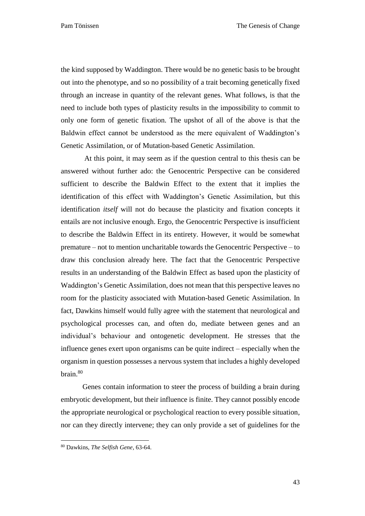the kind supposed by Waddington. There would be no genetic basis to be brought out into the phenotype, and so no possibility of a trait becoming genetically fixed through an increase in quantity of the relevant genes. What follows, is that the need to include both types of plasticity results in the impossibility to commit to only one form of genetic fixation. The upshot of all of the above is that the Baldwin effect cannot be understood as the mere equivalent of Waddington's Genetic Assimilation, or of Mutation-based Genetic Assimilation.

At this point, it may seem as if the question central to this thesis can be answered without further ado: the Genocentric Perspective can be considered sufficient to describe the Baldwin Effect to the extent that it implies the identification of this effect with Waddington's Genetic Assimilation, but this identification *itself* will not do because the plasticity and fixation concepts it entails are not inclusive enough. Ergo, the Genocentric Perspective is insufficient to describe the Baldwin Effect in its entirety. However, it would be somewhat premature – not to mention uncharitable towards the Genocentric Perspective – to draw this conclusion already here. The fact that the Genocentric Perspective results in an understanding of the Baldwin Effect as based upon the plasticity of Waddington's Genetic Assimilation, does not mean that this perspective leaves no room for the plasticity associated with Mutation-based Genetic Assimilation. In fact, Dawkins himself would fully agree with the statement that neurological and psychological processes can, and often do, mediate between genes and an individual's behaviour and ontogenetic development. He stresses that the influence genes exert upon organisms can be quite indirect – especially when the organism in question possesses a nervous system that includes a highly developed brain. 80

Genes contain information to steer the process of building a brain during embryotic development, but their influence is finite. They cannot possibly encode the appropriate neurological or psychological reaction to every possible situation, nor can they directly intervene; they can only provide a set of guidelines for the

 $\ddot{\phantom{a}}$ 

<sup>80</sup> Dawkins, *The Selfish Gene*, 63-64.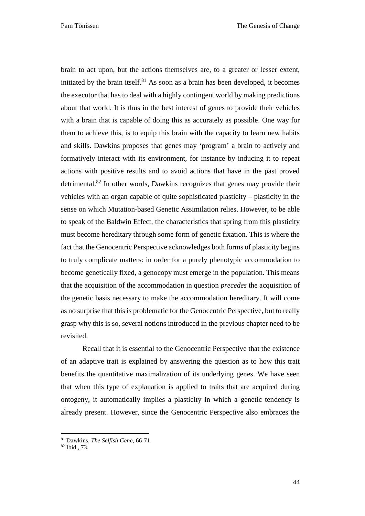Pam Tönissen The Genesis of Change

brain to act upon, but the actions themselves are, to a greater or lesser extent, initiated by the brain itself. $81$  As soon as a brain has been developed, it becomes the executor that has to deal with a highly contingent world by making predictions about that world. It is thus in the best interest of genes to provide their vehicles with a brain that is capable of doing this as accurately as possible. One way for them to achieve this, is to equip this brain with the capacity to learn new habits and skills. Dawkins proposes that genes may 'program' a brain to actively and formatively interact with its environment, for instance by inducing it to repeat actions with positive results and to avoid actions that have in the past proved detrimental.<sup>82</sup> In other words, Dawkins recognizes that genes may provide their vehicles with an organ capable of quite sophisticated plasticity – plasticity in the sense on which Mutation-based Genetic Assimilation relies. However, to be able to speak of the Baldwin Effect, the characteristics that spring from this plasticity must become hereditary through some form of genetic fixation. This is where the fact that the Genocentric Perspective acknowledges both forms of plasticity begins to truly complicate matters: in order for a purely phenotypic accommodation to become genetically fixed, a genocopy must emerge in the population. This means that the acquisition of the accommodation in question *precedes* the acquisition of the genetic basis necessary to make the accommodation hereditary. It will come as no surprise that this is problematic for the Genocentric Perspective, but to really grasp why this is so, several notions introduced in the previous chapter need to be revisited.

Recall that it is essential to the Genocentric Perspective that the existence of an adaptive trait is explained by answering the question as to how this trait benefits the quantitative maximalization of its underlying genes. We have seen that when this type of explanation is applied to traits that are acquired during ontogeny, it automatically implies a plasticity in which a genetic tendency is already present. However, since the Genocentric Perspective also embraces the

<sup>81</sup> Dawkins, *The Selfish Gene*, 66-71.

<sup>82</sup> Ibid., 73.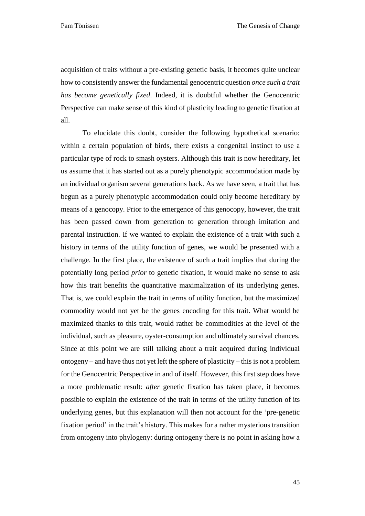acquisition of traits without a pre-existing genetic basis, it becomes quite unclear how to consistently answer the fundamental genocentric question *once such a trait has become genetically fixed*. Indeed, it is doubtful whether the Genocentric Perspective can make sense of this kind of plasticity leading to genetic fixation at all.

To elucidate this doubt, consider the following hypothetical scenario: within a certain population of birds, there exists a congenital instinct to use a particular type of rock to smash oysters. Although this trait is now hereditary, let us assume that it has started out as a purely phenotypic accommodation made by an individual organism several generations back. As we have seen, a trait that has begun as a purely phenotypic accommodation could only become hereditary by means of a genocopy. Prior to the emergence of this genocopy, however, the trait has been passed down from generation to generation through imitation and parental instruction. If we wanted to explain the existence of a trait with such a history in terms of the utility function of genes, we would be presented with a challenge. In the first place, the existence of such a trait implies that during the potentially long period *prior* to genetic fixation, it would make no sense to ask how this trait benefits the quantitative maximalization of its underlying genes. That is, we could explain the trait in terms of utility function, but the maximized commodity would not yet be the genes encoding for this trait. What would be maximized thanks to this trait, would rather be commodities at the level of the individual, such as pleasure, oyster-consumption and ultimately survival chances. Since at this point we are still talking about a trait acquired during individual ontogeny – and have thus not yet left the sphere of plasticity – this is not a problem for the Genocentric Perspective in and of itself. However, this first step does have a more problematic result: *after* genetic fixation has taken place, it becomes possible to explain the existence of the trait in terms of the utility function of its underlying genes, but this explanation will then not account for the 'pre-genetic fixation period' in the trait's history. This makes for a rather mysterious transition from ontogeny into phylogeny: during ontogeny there is no point in asking how a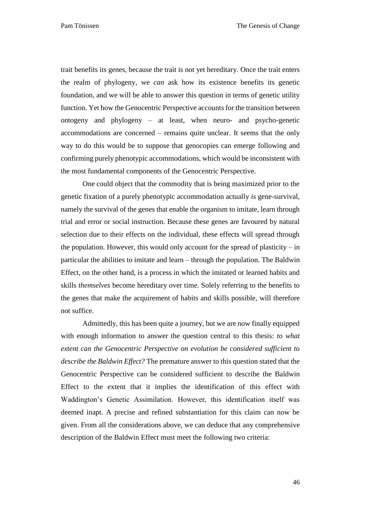trait benefits its genes, because the trait is not yet hereditary. Once the trait enters the realm of phylogeny, we *can* ask how its existence benefits its genetic foundation, and we will be able to answer this question in terms of genetic utility function. Yet how the Genocentric Perspective accounts for the transition between ontogeny and phylogeny – at least, when neuro- and psycho-genetic accommodations are concerned – remains quite unclear. It seems that the only way to do this would be to suppose that genocopies can emerge following and confirming purely phenotypic accommodations, which would be inconsistent with the most fundamental components of the Genocentric Perspective.

One could object that the commodity that is being maximized prior to the genetic fixation of a purely phenotypic accommodation actually *is* gene-survival, namely the survival of the genes that enable the organism to imitate, learn through trial and error or social instruction. Because these genes are favoured by natural selection due to their effects on the individual, these effects will spread through the population. However, this would only account for the spread of plasticity  $-$  in particular the abilities to imitate and learn – through the population. The Baldwin Effect, on the other hand, is a process in which the imitated or learned habits and skills *themselves* become hereditary over time. Solely referring to the benefits to the genes that make the acquirement of habits and skills possible, will therefore not suffice.

Admittedly, this has been quite a journey, but we are now finally equipped with enough information to answer the question central to this thesis: *to what extent can the Genocentric Perspective on evolution be considered sufficient to describe the Baldwin Effect?* The premature answer to this question stated that the Genocentric Perspective can be considered sufficient to describe the Baldwin Effect to the extent that it implies the identification of this effect with Waddington's Genetic Assimilation. However, this identification itself was deemed inapt. A precise and refined substantiation for this claim can now be given. From all the considerations above, we can deduce that any comprehensive description of the Baldwin Effect must meet the following two criteria:

46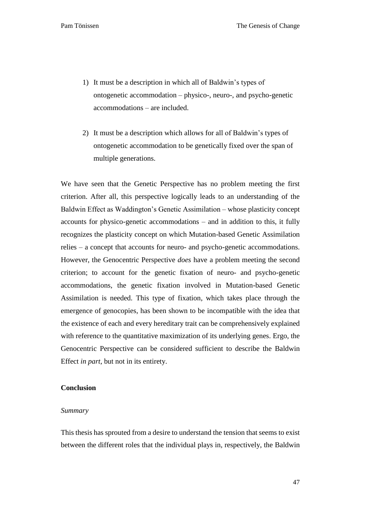- 1) It must be a description in which all of Baldwin's types of ontogenetic accommodation – physico-, neuro-, and psycho-genetic accommodations – are included.
- 2) It must be a description which allows for all of Baldwin's types of ontogenetic accommodation to be genetically fixed over the span of multiple generations.

We have seen that the Genetic Perspective has no problem meeting the first criterion. After all, this perspective logically leads to an understanding of the Baldwin Effect as Waddington's Genetic Assimilation – whose plasticity concept accounts for physico-genetic accommodations – and in addition to this, it fully recognizes the plasticity concept on which Mutation-based Genetic Assimilation relies – a concept that accounts for neuro- and psycho-genetic accommodations. However, the Genocentric Perspective *does* have a problem meeting the second criterion; to account for the genetic fixation of neuro- and psycho-genetic accommodations, the genetic fixation involved in Mutation-based Genetic Assimilation is needed. This type of fixation, which takes place through the emergence of genocopies, has been shown to be incompatible with the idea that the existence of each and every hereditary trait can be comprehensively explained with reference to the quantitative maximization of its underlying genes. Ergo, the Genocentric Perspective can be considered sufficient to describe the Baldwin Effect *in part*, but not in its entirety.

## <span id="page-47-0"></span>**Conclusion**

#### <span id="page-47-1"></span>*Summary*

This thesis has sprouted from a desire to understand the tension that seems to exist between the different roles that the individual plays in, respectively, the Baldwin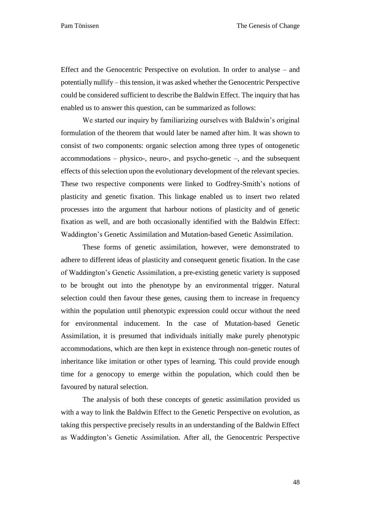Effect and the Genocentric Perspective on evolution. In order to analyse – and potentially nullify – this tension, it was asked whether the Genocentric Perspective could be considered sufficient to describe the Baldwin Effect. The inquiry that has enabled us to answer this question, can be summarized as follows:

We started our inquiry by familiarizing ourselves with Baldwin's original formulation of the theorem that would later be named after him. It was shown to consist of two components: organic selection among three types of ontogenetic accommodations – physico-, neuro-, and psycho-genetic –, and the subsequent effects of this selection upon the evolutionary development of the relevant species. These two respective components were linked to Godfrey-Smith's notions of plasticity and genetic fixation. This linkage enabled us to insert two related processes into the argument that harbour notions of plasticity and of genetic fixation as well, and are both occasionally identified with the Baldwin Effect: Waddington's Genetic Assimilation and Mutation-based Genetic Assimilation.

These forms of genetic assimilation, however, were demonstrated to adhere to different ideas of plasticity and consequent genetic fixation. In the case of Waddington's Genetic Assimilation, a pre-existing genetic variety is supposed to be brought out into the phenotype by an environmental trigger. Natural selection could then favour these genes, causing them to increase in frequency within the population until phenotypic expression could occur without the need for environmental inducement. In the case of Mutation-based Genetic Assimilation, it is presumed that individuals initially make purely phenotypic accommodations, which are then kept in existence through non-genetic routes of inheritance like imitation or other types of learning. This could provide enough time for a genocopy to emerge within the population, which could then be favoured by natural selection.

The analysis of both these concepts of genetic assimilation provided us with a way to link the Baldwin Effect to the Genetic Perspective on evolution, as taking this perspective precisely results in an understanding of the Baldwin Effect as Waddington's Genetic Assimilation. After all, the Genocentric Perspective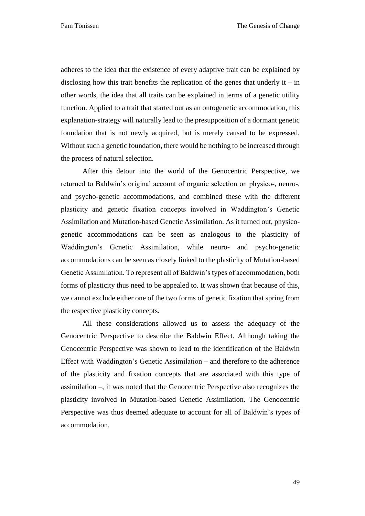adheres to the idea that the existence of every adaptive trait can be explained by disclosing how this trait benefits the replication of the genes that underly it – in other words, the idea that all traits can be explained in terms of a genetic utility function. Applied to a trait that started out as an ontogenetic accommodation, this explanation-strategy will naturally lead to the presupposition of a dormant genetic foundation that is not newly acquired, but is merely caused to be expressed. Without such a genetic foundation, there would be nothing to be increased through the process of natural selection.

After this detour into the world of the Genocentric Perspective, we returned to Baldwin's original account of organic selection on physico-, neuro-, and psycho-genetic accommodations, and combined these with the different plasticity and genetic fixation concepts involved in Waddington's Genetic Assimilation and Mutation-based Genetic Assimilation. As it turned out, physicogenetic accommodations can be seen as analogous to the plasticity of Waddington's Genetic Assimilation, while neuro- and psycho-genetic accommodations can be seen as closely linked to the plasticity of Mutation-based Genetic Assimilation. To represent all of Baldwin's types of accommodation, both forms of plasticity thus need to be appealed to. It was shown that because of this, we cannot exclude either one of the two forms of genetic fixation that spring from the respective plasticity concepts.

All these considerations allowed us to assess the adequacy of the Genocentric Perspective to describe the Baldwin Effect. Although taking the Genocentric Perspective was shown to lead to the identification of the Baldwin Effect with Waddington's Genetic Assimilation – and therefore to the adherence of the plasticity and fixation concepts that are associated with this type of assimilation –, it was noted that the Genocentric Perspective also recognizes the plasticity involved in Mutation-based Genetic Assimilation. The Genocentric Perspective was thus deemed adequate to account for all of Baldwin's types of accommodation.

49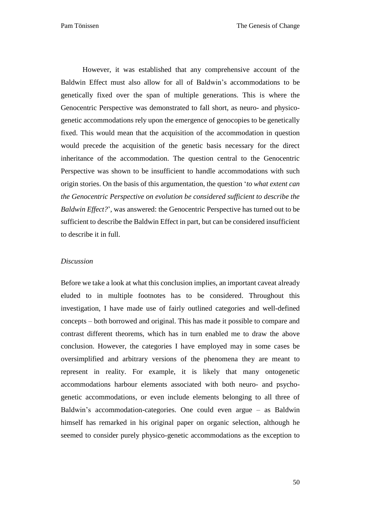However, it was established that any comprehensive account of the Baldwin Effect must also allow for all of Baldwin's accommodations to be genetically fixed over the span of multiple generations. This is where the Genocentric Perspective was demonstrated to fall short, as neuro- and physicogenetic accommodations rely upon the emergence of genocopies to be genetically fixed. This would mean that the acquisition of the accommodation in question would precede the acquisition of the genetic basis necessary for the direct inheritance of the accommodation. The question central to the Genocentric Perspective was shown to be insufficient to handle accommodations with such origin stories. On the basis of this argumentation, the question '*to what extent can the Genocentric Perspective on evolution be considered sufficient to describe the Baldwin Effect?*', was answered: the Genocentric Perspective has turned out to be sufficient to describe the Baldwin Effect in part, but can be considered insufficient to describe it in full.

## <span id="page-50-0"></span>*Discussion*

Before we take a look at what this conclusion implies, an important caveat already eluded to in multiple footnotes has to be considered. Throughout this investigation, I have made use of fairly outlined categories and well-defined concepts – both borrowed and original. This has made it possible to compare and contrast different theorems, which has in turn enabled me to draw the above conclusion. However, the categories I have employed may in some cases be oversimplified and arbitrary versions of the phenomena they are meant to represent in reality. For example, it is likely that many ontogenetic accommodations harbour elements associated with both neuro- and psychogenetic accommodations, or even include elements belonging to all three of Baldwin's accommodation-categories. One could even argue – as Baldwin himself has remarked in his original paper on organic selection, although he seemed to consider purely physico-genetic accommodations as the exception to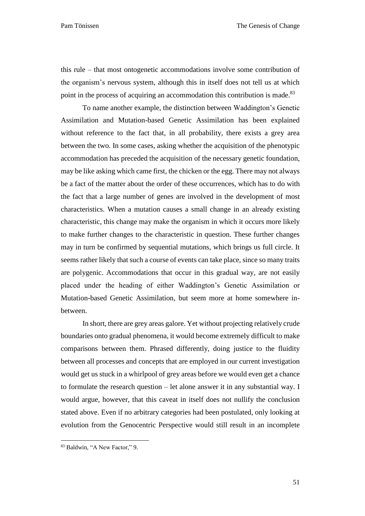this rule – that most ontogenetic accommodations involve some contribution of the organism's nervous system, although this in itself does not tell us at which point in the process of acquiring an accommodation this contribution is made.<sup>83</sup>

To name another example, the distinction between Waddington's Genetic Assimilation and Mutation-based Genetic Assimilation has been explained without reference to the fact that, in all probability, there exists a grey area between the two. In some cases, asking whether the acquisition of the phenotypic accommodation has preceded the acquisition of the necessary genetic foundation, may be like asking which came first, the chicken or the egg. There may not always be a fact of the matter about the order of these occurrences, which has to do with the fact that a large number of genes are involved in the development of most characteristics. When a mutation causes a small change in an already existing characteristic, this change may make the organism in which it occurs more likely to make further changes to the characteristic in question. These further changes may in turn be confirmed by sequential mutations, which brings us full circle. It seems rather likely that such a course of events can take place, since so many traits are polygenic. Accommodations that occur in this gradual way, are not easily placed under the heading of either Waddington's Genetic Assimilation or Mutation-based Genetic Assimilation, but seem more at home somewhere inbetween.

In short, there are grey areas galore. Yet without projecting relatively crude boundaries onto gradual phenomena, it would become extremely difficult to make comparisons between them. Phrased differently, doing justice to the fluidity between all processes and concepts that are employed in our current investigation would get us stuck in a whirlpool of grey areas before we would even get a chance to formulate the research question – let alone answer it in any substantial way. I would argue, however, that this caveat in itself does not nullify the conclusion stated above. Even if no arbitrary categories had been postulated, only looking at evolution from the Genocentric Perspective would still result in an incomplete

 $\ddot{\phantom{a}}$ 

<sup>83</sup> Baldwin, "A New Factor," 9.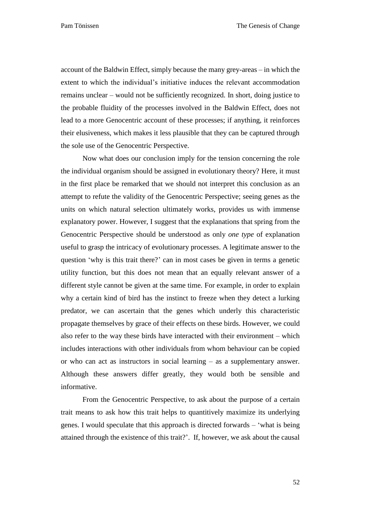Pam Tönissen The Genesis of Change

account of the Baldwin Effect, simply because the many grey-areas – in which the extent to which the individual's initiative induces the relevant accommodation remains unclear – would not be sufficiently recognized. In short, doing justice to the probable fluidity of the processes involved in the Baldwin Effect, does not lead to a more Genocentric account of these processes; if anything, it reinforces their elusiveness, which makes it less plausible that they can be captured through the sole use of the Genocentric Perspective.

Now what does our conclusion imply for the tension concerning the role the individual organism should be assigned in evolutionary theory? Here, it must in the first place be remarked that we should not interpret this conclusion as an attempt to refute the validity of the Genocentric Perspective; seeing genes as the units on which natural selection ultimately works, provides us with immense explanatory power. However, I suggest that the explanations that spring from the Genocentric Perspective should be understood as only *one type* of explanation useful to grasp the intricacy of evolutionary processes. A legitimate answer to the question 'why is this trait there?' can in most cases be given in terms a genetic utility function, but this does not mean that an equally relevant answer of a different style cannot be given at the same time. For example, in order to explain why a certain kind of bird has the instinct to freeze when they detect a lurking predator, we can ascertain that the genes which underly this characteristic propagate themselves by grace of their effects on these birds. However, we could also refer to the way these birds have interacted with their environment – which includes interactions with other individuals from whom behaviour can be copied or who can act as instructors in social learning – as a supplementary answer. Although these answers differ greatly, they would both be sensible and informative.

From the Genocentric Perspective, to ask about the purpose of a certain trait means to ask how this trait helps to quantitively maximize its underlying genes. I would speculate that this approach is directed forwards – 'what is being attained through the existence of this trait?'. If, however, we ask about the causal

52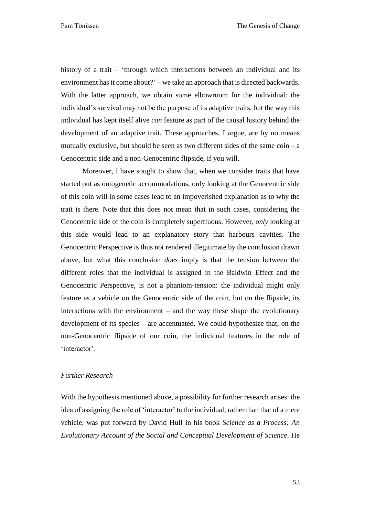history of a trait – 'through which interactions between an individual and its environment has it come about?' – we take an approach that is directed backwards. With the latter approach, we obtain some elbowroom for the individual: the individual's survival may not be the purpose of its adaptive traits, but the way this individual has kept itself alive *can* feature as part of the causal history behind the development of an adaptive trait. These approaches, I argue, are by no means mutually exclusive, but should be seen as two different sides of the same  $\sin - a$ Genocentric side and a non-Genocentric flipside, if you will.

Moreover, I have sought to show that, when we consider traits that have started out as ontogenetic accommodations, only looking at the Genocentric side of this coin will in some cases lead to an impoverished explanation as to why the trait is there. Note that this does not mean that in such cases, considering the Genocentric side of the coin is completely superfluous. However, *only* looking at this side would lead to an explanatory story that harbours cavities. The Genocentric Perspective is thus not rendered illegitimate by the conclusion drawn above, but what this conclusion *does* imply is that the tension between the different roles that the individual is assigned in the Baldwin Effect and the Genocentric Perspective, is not a phantom-tension: the individual might only feature as a vehicle on the Genocentric side of the coin, but on the flipside, its interactions with the environment – and the way these shape the evolutionary development of its species – are accentuated. We could hypothesize that, on the non-Genocentric flipside of our coin, the individual features in the role of 'interactor'.

## <span id="page-53-0"></span>*Further Research*

With the hypothesis mentioned above, a possibility for further research arises: the idea of assigning the role of 'interactor' to the individual, rather than that of a mere vehicle, was put forward by David Hull in his book *Science as a Process: An Evolutionary Account of the Social and Conceptual Development of Science*. He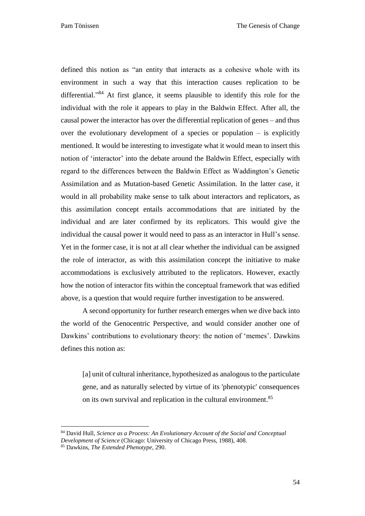defined this notion as "an entity that interacts as a cohesive whole with its environment in such a way that this interaction causes replication to be differential." <sup>84</sup> At first glance, it seems plausible to identify this role for the individual with the role it appears to play in the Baldwin Effect. After all, the causal power the interactor has over the differential replication of genes – and thus over the evolutionary development of a species or population  $-$  is explicitly mentioned. It would be interesting to investigate what it would mean to insert this notion of 'interactor' into the debate around the Baldwin Effect, especially with regard to the differences between the Baldwin Effect as Waddington's Genetic Assimilation and as Mutation-based Genetic Assimilation. In the latter case, it would in all probability make sense to talk about interactors and replicators, as this assimilation concept entails accommodations that are initiated by the individual and are later confirmed by its replicators. This would give the individual the causal power it would need to pass as an interactor in Hull's sense. Yet in the former case, it is not at all clear whether the individual can be assigned the role of interactor, as with this assimilation concept the initiative to make accommodations is exclusively attributed to the replicators. However, exactly how the notion of interactor fits within the conceptual framework that was edified above, is a question that would require further investigation to be answered.

A second opportunity for further research emerges when we dive back into the world of the Genocentric Perspective, and would consider another one of Dawkins' contributions to evolutionary theory: the notion of 'memes'. Dawkins defines this notion as:

[a] unit of cultural inheritance, hypothesized as analogous to the particulate gene, and as naturally selected by virtue of its 'phenotypic' consequences on its own survival and replication in the cultural environment.<sup>85</sup>

<sup>84</sup> David Hull, *Science as a Process: An Evolutionary Account of the Social and Conceptual* 

*Development of Science* (Chicago: University of Chicago Press, 1988), 408.

<sup>85</sup> Dawkins, *The Extended Phenotype*, 290.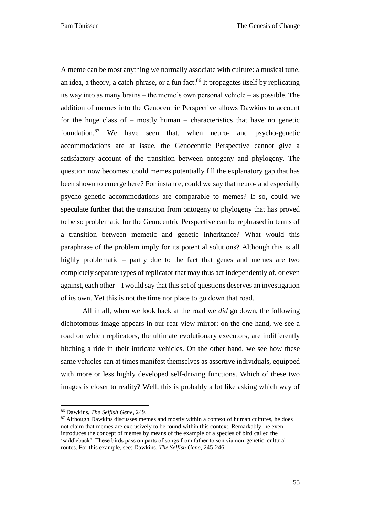A meme can be most anything we normally associate with culture: a musical tune, an idea, a theory, a catch-phrase, or a fun fact.<sup>86</sup> It propagates itself by replicating its way into as many brains – the meme's own personal vehicle – as possible. The addition of memes into the Genocentric Perspective allows Dawkins to account for the huge class of  $-$  mostly human  $-$  characteristics that have no genetic foundation.<sup>87</sup> We have seen that, when neuro- and psycho-genetic accommodations are at issue, the Genocentric Perspective cannot give a satisfactory account of the transition between ontogeny and phylogeny. The question now becomes: could memes potentially fill the explanatory gap that has been shown to emerge here? For instance, could we say that neuro- and especially psycho-genetic accommodations are comparable to memes? If so, could we speculate further that the transition from ontogeny to phylogeny that has proved to be so problematic for the Genocentric Perspective can be rephrased in terms of a transition between memetic and genetic inheritance? What would this paraphrase of the problem imply for its potential solutions? Although this is all highly problematic – partly due to the fact that genes and memes are two completely separate types of replicator that may thus act independently of, or even against, each other – I would say that this set of questions deserves an investigation of its own. Yet this is not the time nor place to go down that road.

All in all, when we look back at the road we *did* go down, the following dichotomous image appears in our rear-view mirror: on the one hand, we see a road on which replicators, the ultimate evolutionary executors, are indifferently hitching a ride in their intricate vehicles. On the other hand, we see how these same vehicles can at times manifest themselves as assertive individuals, equipped with more or less highly developed self-driving functions. Which of these two images is closer to reality? Well, this is probably a lot like asking which way of

<sup>86</sup> Dawkins, *The Selfish Gene*, 249.

<sup>&</sup>lt;sup>87</sup> Although Dawkins discusses memes and mostly within a context of human cultures, he does not claim that memes are exclusively to be found within this context. Remarkably, he even introduces the concept of memes by means of the example of a species of bird called the 'saddleback'. These birds pass on parts of songs from father to son via non-genetic, cultural routes. For this example, see: Dawkins, *The Selfish Gene*, 245-246.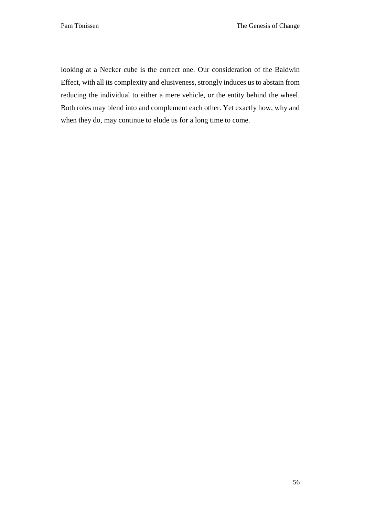looking at a Necker cube is the correct one. Our consideration of the Baldwin Effect, with all its complexity and elusiveness, strongly induces us to abstain from reducing the individual to either a mere vehicle, or the entity behind the wheel. Both roles may blend into and complement each other. Yet exactly how, why and when they do, may continue to elude us for a long time to come.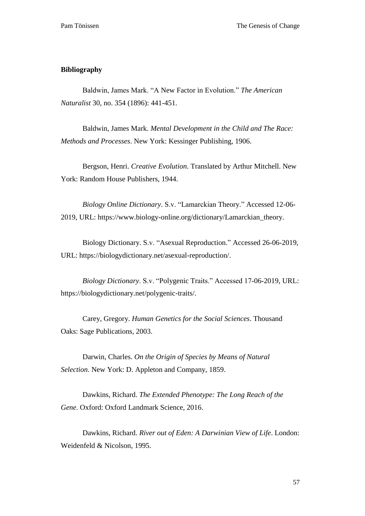## <span id="page-57-0"></span>**Bibliography**

Baldwin, James Mark. "A New Factor in Evolution." *The American Naturalist* 30, no. 354 (1896): 441-451.

Baldwin, James Mark. *Mental Development in the Child and The Race: Methods and Processes*. New York: Kessinger Publishing, 1906.

Bergson, Henri. *Creative Evolution*. Translated by Arthur Mitchell. New York: Random House Publishers, 1944.

*Biology Online Dictionary*. S.v. "Lamarckian Theory." Accessed 12-06- 2019, URL: https://www.biology-online.org/dictionary/Lamarckian\_theory.

Biology Dictionary. S.v. "Asexual Reproduction." Accessed 26-06-2019, URL: [https://biologydictionary.net/asexual-reproduction/.](https://biologydictionary.net/asexual-reproduction/)

*Biology Dictionary*. S.v. "Polygenic Traits." Accessed 17-06-2019, URL: https://biologydictionary.net/polygenic-traits/.

Carey, Gregory. *Human Genetics for the Social Sciences*. Thousand Oaks: Sage Publications, 2003.

Darwin, Charles. *On the Origin of Species by Means of Natural Selection*. New York: D. Appleton and Company, 1859.

Dawkins, Richard. *The Extended Phenotype: The Long Reach of the Gene*. Oxford: Oxford Landmark Science, 2016.

Dawkins, Richard. *River out of Eden: A Darwinian View of Life*. London: Weidenfeld & Nicolson, 1995.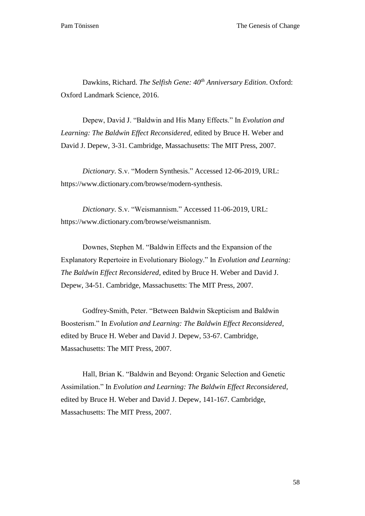Dawkins, Richard. *The Selfish Gene: 40th Anniversary Edition*. Oxford: Oxford Landmark Science, 2016.

Depew, David J. "Baldwin and His Many Effects." In *Evolution and Learning: The Baldwin Effect Reconsidered*, edited by Bruce H. Weber and David J. Depew, 3-31. Cambridge, Massachusetts: The MIT Press, 2007.

*Dictionary*. S.v. "Modern Synthesis." Accessed 12-06-2019, URL: https://www.dictionary.com/browse/modern-synthesis.

*Dictionary*. S.v. "Weismannism." Accessed 11-06-2019, URL: https://www.dictionary.com/browse/weismannism.

Downes, Stephen M. "Baldwin Effects and the Expansion of the Explanatory Repertoire in Evolutionary Biology." In *Evolution and Learning: The Baldwin Effect Reconsidered*, edited by Bruce H. Weber and David J. Depew, 34-51. Cambridge, Massachusetts: The MIT Press, 2007.

Godfrey-Smith, Peter. "Between Baldwin Skepticism and Baldwin Boosterism." In *Evolution and Learning: The Baldwin Effect Reconsidered*, edited by Bruce H. Weber and David J. Depew, 53-67. Cambridge, Massachusetts: The MIT Press, 2007.

Hall, Brian K. "Baldwin and Beyond: Organic Selection and Genetic Assimilation." In *Evolution and Learning: The Baldwin Effect Reconsidered*, edited by Bruce H. Weber and David J. Depew, 141-167. Cambridge, Massachusetts: The MIT Press, 2007.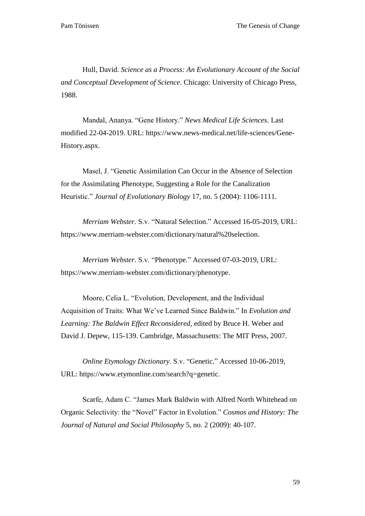Hull, David. *Science as a Process: An Evolutionary Account of the Social and Conceptual Development of Science*. Chicago: University of Chicago Press, 1988.

Mandal, Ananya. "Gene History." *News Medical Life Sciences*. Last modified 22-04-2019. URL: [https://www.news-medical.net/life-sciences/Gene-](https://www.news-medical.net/life-sciences/Gene-History.aspx)[History.aspx.](https://www.news-medical.net/life-sciences/Gene-History.aspx)

Masel, J. "Genetic Assimilation Can Occur in the Absence of Selection for the Assimilating Phenotype, Suggesting a Role for the Canalization Heuristic." *Journal of Evolutionary Biology* 17, no. 5 (2004): 1106-1111.

*Merriam Webster*. S.v. "Natural Selection." Accessed 16-05-2019, URL: https://www.merriam-webster.com/dictionary/natural%20selection.

*Merriam Webster*. S.v. "Phenotype." Accessed 07-03-2019, URL: https://www.merriam-webster.com/dictionary/phenotype.

Moore, Celia L. "Evolution, Development, and the Individual Acquisition of Traits: What We've Learned Since Baldwin." In *Evolution and Learning: The Baldwin Effect Reconsidered*, edited by Bruce H. Weber and David J. Depew, 115-139. Cambridge, Massachusetts: The MIT Press, 2007.

*Online Etymology Dictionary*. S.v. "Genetic." Accessed 10-06-2019, URL: https://www.etymonline.com/search?q=genetic.

Scarfe, Adam C. "James Mark Baldwin with Alfred North Whitehead on Organic Selectivity: the "Novel" Factor in Evolution." *Cosmos and History: The Journal of Natural and Social Philosophy* 5, no. 2 (2009): 40-107.